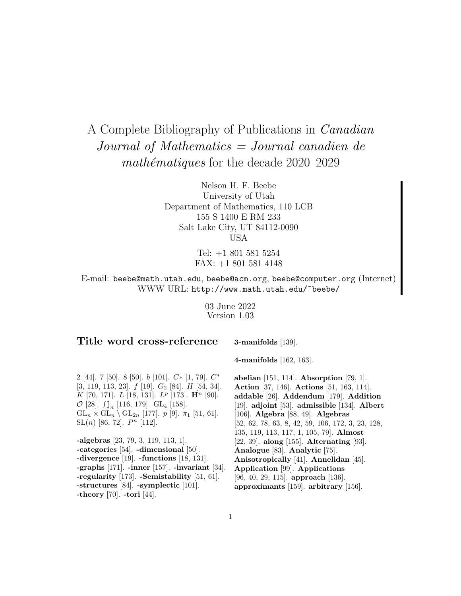# A Complete Bibliography of Publications in Canadian Journal of Mathematics = Journal canadien de math $\acute{e}$ matiques for the decade 2020–2029

Nelson H. F. Beebe University of Utah Department of Mathematics, 110 LCB 155 S 1400 E RM 233 Salt Lake City, UT 84112-0090 USA

> Tel: +1 801 581 5254 FAX: +1 801 581 4148

E-mail: beebe@math.utah.edu, beebe@acm.org, beebe@computer.org (Internet) WWW URL: http://www.math.utah.edu/~beebe/

> 03 June 2022 Version 1.03

### **Title word cross-reference**

**3-manifolds** [139].

2 [44]. 7 [50]. 8 [50].  $b$  [101].  $C*$  [1, 79].  $C*$  $[3, 119, 113, 23]$ .  $f$  [19].  $G_2$  [84].  $H$  [54, 34]. K [70, 171]. L [18, 131]. L<sup>p</sup> [173]. **H**<sup>n</sup> [90].  $\mathcal{O}$  [28].  $\int_{1}^{\infty}$  [116, 179]. GL<sub>4</sub> [158].  $GL_n \times GL_n \setminus GL_{2n}$  [177].  $p$  [9].  $\pi_1$  [51, 61].  $SL(n)$  [86, 72].  $P^n$  [112].

**-algebras** [23, 79, 3, 119, 113, 1]. **-categories** [54]. **-dimensional** [50]. **-divergence** [19]. **-functions** [18, 131]. **-graphs** [171]. **-inner** [157]. **-invariant** [34]. **-regularity** [173]. **-Semistability** [51, 61]. **-structures** [84]. **-symplectic** [101]. **-theory** [70]. **-tori** [44].

**4-manifolds** [162, 163].

**abelian** [151, 114]. **Absorption** [79, 1]. **Action** [37, 146]. **Actions** [51, 163, 114]. **addable** [26]. **Addendum** [179]. **Addition** [19]. **adjoint** [53]. **admissible** [134]. **Albert** [106]. **Algebra** [88, 49]. **Algebras** [52, 62, 78, 63, 8, 42, 59, 106, 172, 3, 23, 128, 135, 119, 113, 117, 1, 105, 79]. **Almost** [22, 39]. **along** [155]. **Alternating** [93]. **Analogue** [83]. **Analytic** [75]. **Anisotropically** [41]. **Annelidan** [45]. **Application** [99]. **Applications** [96, 40, 29, 115]. **approach** [136]. **approximants** [159]. **arbitrary** [156].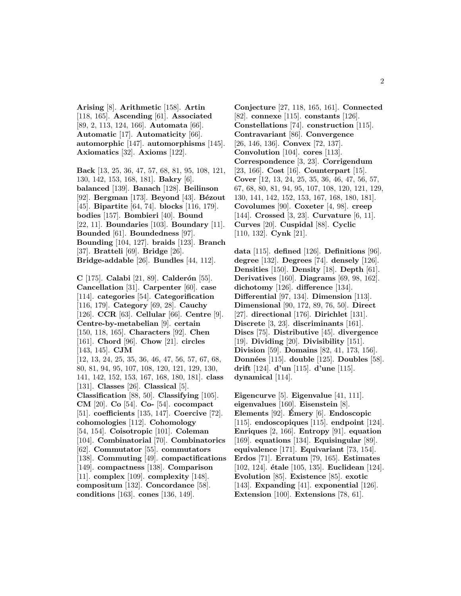**Arising** [8]. **Arithmetic** [158]. **Artin** [118, 165]. **Ascending** [61]. **Associated** [89, 2, 113, 124, 166]. **Automata** [66]. **Automatic** [17]. **Automaticity** [66]. **automorphic** [147]. **automorphisms** [145]. **Axiomatics** [32]. **Axioms** [122].

**Back** [13, 25, 36, 47, 57, 68, 81, 95, 108, 121, 130, 142, 153, 168, 181]. **Bakry** [6]. **balanced** [139]. **Banach** [128]. **Beilinson** [92]. **Bergman** [173]. **Beyond** [43]. **B´ezout** [45]. **Bipartite** [64, 74]. **blocks** [116, 179]. **bodies** [157]. **Bombieri** [40]. **Bound** [22, 11]. **Boundaries** [103]. **Boundary** [11]. **Bounded** [61]. **Boundedness** [97]. **Bounding** [104, 127]. **braids** [123]. **Branch** [37]. **Bratteli** [69]. **Bridge** [26]. **Bridge-addable** [26]. **Bundles** [44, 112].

**C** [175]. **Calabi** [21, 89]. **Calder´on** [55]. **Cancellation** [31]. **Carpenter** [60]. **case** [114]. **categories** [54]. **Categorification** [116, 179]. **Category** [69, 28]. **Cauchy** [126]. **CCR** [63]. **Cellular** [66]. **Centre** [9]. **Centre-by-metabelian** [9]. **certain** [150, 118, 165]. **Characters** [92]. **Chen** [161]. **Chord** [96]. **Chow** [21]. **circles** [143, 145]. **CJM** [12, 13, 24, 25, 35, 36, 46, 47, 56, 57, 67, 68, 80, 81, 94, 95, 107, 108, 120, 121, 129, 130, 141, 142, 152, 153, 167, 168, 180, 181]. **class** [131]. **Classes** [26]. **Classical** [5]. **Classification** [88, 50]. **Classifying** [105]. **CM** [20]. **Co** [54]. **Co-** [54]. **cocompact** [51]. **coefficients** [135, 147]. **Coercive** [72]. **cohomologies** [112]. **Cohomology** [54, 154]. **Coisotropic** [101]. **Coleman** [104]. **Combinatorial** [70]. **Combinatorics** [62]. **Commutator** [55]. **commutators** [138]. **Commuting** [49]. **compactifications** [149]. **compactness** [138]. **Comparison** [11]. **complex** [109]. **complexity** [148]. **compositum** [132]. **Concordance** [58]. **conditions** [163]. **cones** [136, 149].

**Conjecture** [27, 118, 165, 161]. **Connected** [82]. **connexe** [115]. **constants** [126]. **Constellations** [74]. **construction** [115]. **Contravariant** [86]. **Convergence** [26, 146, 136]. **Convex** [72, 137]. **Convolution** [104]. **cores** [113]. **Correspondence** [3, 23]. **Corrigendum** [23, 166]. **Cost** [16]. **Counterpart** [15]. **Cover** [12, 13, 24, 25, 35, 36, 46, 47, 56, 57, 67, 68, 80, 81, 94, 95, 107, 108, 120, 121, 129, 130, 141, 142, 152, 153, 167, 168, 180, 181]. **Covolumes** [90]. **Coxeter** [4, 98]. **creep** [144]. **Crossed** [3, 23]. **Curvature** [6, 11]. **Curves** [20]. **Cuspidal** [88]. **Cyclic** [110, 132]. **Cynk** [21].

**data** [115]. **defined** [126]. **Definitions** [96]. **degree** [132]. **Degrees** [74]. **densely** [126]. **Densities** [150]. **Density** [18]. **Depth** [61]. **Derivatives** [160]. **Diagrams** [69, 98, 162]. **dichotomy** [126]. **difference** [134]. **Differential** [97, 134]. **Dimension** [113]. **Dimensional** [90, 172, 89, 76, 50]. **Direct** [27]. **directional** [176]. **Dirichlet** [131]. **Discrete** [3, 23]. **discriminants** [161]. **Discs** [75]. **Distributive** [45]. **divergence** [19]. **Dividing** [20]. **Divisibility** [151]. **Division** [59]. **Domains** [82, 41, 173, 156]. **Donn´ees** [115]. **double** [125]. **Doubles** [58]. **drift** [124]. **d'un** [115]. **d'une** [115]. **dynamical** [114].

**Eigencurve** [5]. **Eigenvalue** [41, 111]. **eigenvalues** [160]. **Eisenstein** [8]. **Elements** [92]. **Emery ´** [6]. **Endoscopic** [115]. **endoscopiques** [115]. **endpoint** [124]. **Enriques** [2, 166]. **Entropy** [91]. **equation** [169]. **equations** [134]. **Equisingular** [89]. **equivalence** [171]. **Equivariant** [73, 154]. **Erdos** [71]. **Erratum** [79, 165]. **Estimates** [102, 124]. **´etale** [105, 135]. **Euclidean** [124]. **Evolution** [85]. **Existence** [85]. **exotic** [143]. **Expanding** [41]. **exponential** [126]. **Extension** [100]. **Extensions** [78, 61].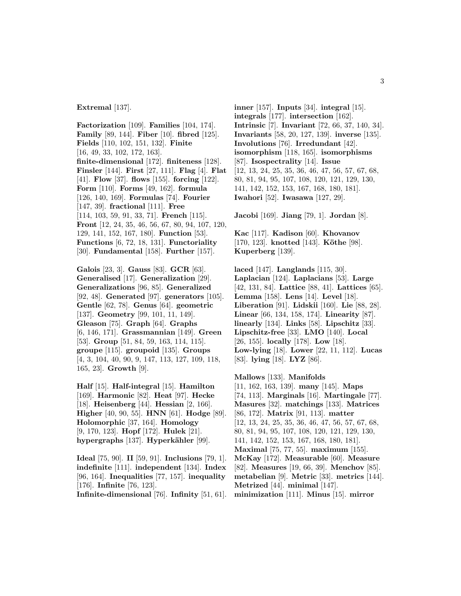**Extremal** [137].

**Factorization** [109]. **Families** [104, 174]. **Family** [89, 144]. **Fiber** [10]. **fibred** [125]. **Fields** [110, 102, 151, 132]. **Finite** [16, 49, 33, 102, 172, 163]. **finite-dimensional** [172]. **finiteness** [128]. **Finsler** [144]. **First** [27, 111]. **Flag** [4]. **Flat** [41]. **Flow** [37]. **flows** [155]. **forcing** [122]. **Form** [110]. **Forms** [49, 162]. **formula** [126, 140, 169]. **Formulas** [74]. **Fourier** [147, 39]. **fractional** [111]. **Free** [114, 103, 59, 91, 33, 71]. **French** [115]. **Front** [12, 24, 35, 46, 56, 67, 80, 94, 107, 120, 129, 141, 152, 167, 180]. **Function** [53]. **Functions** [6, 72, 18, 131]. **Functoriality** [30]. **Fundamental** [158]. **Further** [157].

**Galois** [23, 3]. **Gauss** [83]. **GCR** [63]. **Generalised** [17]. **Generalization** [29]. **Generalizations** [96, 85]. **Generalized** [92, 48]. **Generated** [97]. **generators** [105]. **Gentle** [62, 78]. **Genus** [64]. **geometric** [137]. **Geometry** [99, 101, 11, 149]. **Gleason** [75]. **Graph** [64]. **Graphs** [6, 146, 171]. **Grassmannian** [149]. **Green** [53]. **Group** [51, 84, 59, 163, 114, 115]. **groupe** [115]. **groupoid** [135]. **Groups** [4, 3, 104, 40, 90, 9, 147, 113, 127, 109, 118, 165, 23]. **Growth** [9].

**Half** [15]. **Half-integral** [15]. **Hamilton** [169]. **Harmonic** [82]. **Heat** [97]. **Hecke** [18]. **Heisenberg** [44]. **Hessian** [2, 166]. **Higher** [40, 90, 55]. **HNN** [61]. **Hodge** [89]. **Holomorphic** [37, 164]. **Homology** [9, 170, 123]. **Hopf** [172]. **Hulek** [21]. **hypergraphs** [137]. **Hyperkähler** [99].

**Ideal** [75, 90]. **II** [59, 91]. **Inclusions** [79, 1]. **indefinite** [111]. **independent** [134]. **Index** [96, 164]. **Inequalities** [77, 157]. **inequality** [176]. **Infinite** [76, 123]. **Infinite-dimensional** [76]. **Infinity** [51, 61]. **inner** [157]. **Inputs** [34]. **integral** [15]. **integrals** [177]. **intersection** [162]. **Intrinsic** [7]. **Invariant** [72, 66, 37, 140, 34]. **Invariants** [58, 20, 127, 139]. **inverse** [135]. **Involutions** [76]. **Irredundant** [42]. **isomorphism** [118, 165]. **isomorphisms** [87]. **Isospectrality** [14]. **Issue** [12, 13, 24, 25, 35, 36, 46, 47, 56, 57, 67, 68, 80, 81, 94, 95, 107, 108, 120, 121, 129, 130, 141, 142, 152, 153, 167, 168, 180, 181]. **Iwahori** [52]. **Iwasawa** [127, 29].

**Jacobi** [169]. **Jiang** [79, 1]. **Jordan** [8].

**Kac** [117]. **Kadison** [60]. **Khovanov** [170, 123]. **knotted** [143]. **Köthe** [98]. **Kuperberg** [139].

**laced** [147]. **Langlands** [115, 30]. **Laplacian** [124]. **Laplacians** [53]. **Large** [42, 131, 84]. **Lattice** [88, 41]. **Lattices** [65]. **Lemma** [158]. **Lens** [14]. **Level** [18]. **Liberation** [91]. **Lidskii** [160]. **Lie** [88, 28]. **Linear** [66, 134, 158, 174]. **Linearity** [87]. **linearly** [134]. **Links** [58]. **Lipschitz** [33]. **Lipschitz-free** [33]. **LMO** [140]. **Local** [26, 155]. **locally** [178]. **Low** [18]. **Low-lying** [18]. **Lower** [22, 11, 112]. **Lucas** [83]. **lying** [18]. **LYZ** [86].

**Mallows** [133]. **Manifolds** [11, 162, 163, 139]. **many** [145]. **Maps** [74, 113]. **Marginals** [16]. **Martingale** [77]. **Masures** [32]. **matchings** [133]. **Matrices** [86, 172]. **Matrix** [91, 113]. **matter** [12, 13, 24, 25, 35, 36, 46, 47, 56, 57, 67, 68, 80, 81, 94, 95, 107, 108, 120, 121, 129, 130, 141, 142, 152, 153, 167, 168, 180, 181]. **Maximal** [75, 77, 55]. **maximum** [155]. **McKay** [172]. **Measurable** [60]. **Measure** [82]. **Measures** [19, 66, 39]. **Menchov** [85]. **metabelian** [9]. **Metric** [33]. **metrics** [144]. **Metrized** [44]. **minimal** [147]. **minimization** [111]. **Minus** [15]. **mirror**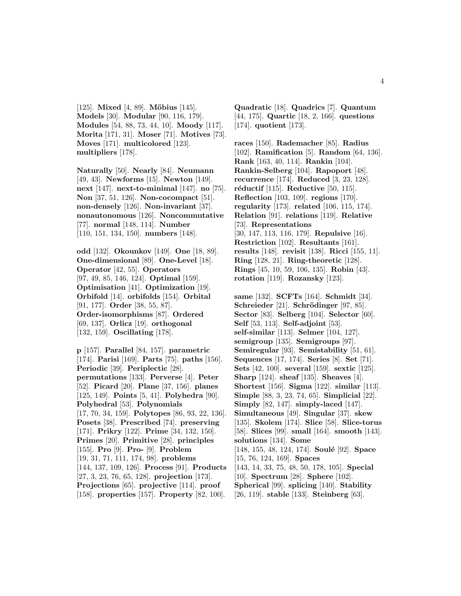[125]. **Mixed** [4, 89]. **Möbius** [145]. **Models** [30]. **Modular** [90, 116, 179]. **Modules** [54, 88, 73, 44, 10]. **Moody** [117]. **Morita** [171, 31]. **Moser** [71]. **Motives** [73]. **Moves** [171]. **multicolored** [123]. **multipliers** [178].

**Naturally** [50]. **Nearly** [84]. **Neumann** [49, 43]. **Newforms** [15]. **Newton** [149]. **next** [147]. **next-to-minimal** [147]. **no** [75]. **Non** [37, 51, 126]. **Non-cocompact** [51]. **non-densely** [126]. **Non-invariant** [37]. **nonautonomous** [126]. **Noncommutative** [77]. **normal** [148, 114]. **Number** [110, 151, 134, 150]. **numbers** [148].

**odd** [132]. **Okounkov** [149]. **One** [18, 89]. **One-dimensional** [89]. **One-Level** [18]. **Operator** [42, 55]. **Operators** [97, 49, 85, 146, 124]. **Optimal** [159]. **Optimisation** [41]. **Optimization** [19]. **Orbifold** [14]. **orbifolds** [154]. **Orbital** [91, 177]. **Order** [38, 55, 87]. **Order-isomorphisms** [87]. **Ordered** [69, 137]. **Orlicz** [19]. **orthogonal** [132, 159]. **Oscillating** [178].

**p** [157]. **Parallel** [84, 157]. **parametric** [174]. **Parisi** [169]. **Parts** [75]. **paths** [156]. **Periodic** [39]. **Periplectic** [28]. **permutations** [133]. **Perverse** [4]. **Peter** [52]. **Picard** [20]. **Plane** [37, 156]. **planes** [125, 149]. **Points** [5, 41]. **Polyhedra** [90]. **Polyhedral** [53]. **Polynomials** [17, 70, 34, 159]. **Polytopes** [86, 93, 22, 136]. **Posets** [38]. **Prescribed** [74]. **preserving** [171]. **Prikry** [122]. **Prime** [34, 132, 150]. **Primes** [20]. **Primitive** [28]. **principles** [155]. **Pro** [9]. **Pro-** [9]. **Problem** [19, 31, 71, 111, 174, 98]. **problems** [144, 137, 109, 126]. **Process** [91]. **Products** [27, 3, 23, 76, 65, 128]. **projection** [173]. **Projections** [65]. **projective** [114]. **proof** [158]. **properties** [157]. **Property** [82, 100].

**Quadratic** [18]. **Quadrics** [7]. **Quantum** [44, 175]. **Quartic** [18, 2, 166]. **questions** [174]. **quotient** [173].

**races** [150]. **Rademacher** [85]. **Radius** [102]. **Ramification** [5]. **Random** [64, 136]. **Rank** [163, 40, 114]. **Rankin** [104]. **Rankin-Selberg** [104]. **Rapoport** [48]. **recurrence** [174]. **Reduced** [3, 23, 128]. **r´eductif** [115]. **Reductive** [50, 115]. **Reflection** [103, 109]. **regions** [170]. **regularity** [173]. **related** [106, 115, 174]. **Relation** [91]. **relations** [119]. **Relative** [73]. **Representations** [30, 147, 113, 116, 179]. **Repulsive** [16]. **Restriction** [102]. **Resultants** [161]. **results** [148]. **revisit** [138]. **Ricci** [155, 11]. **Ring** [128, 21]. **Ring-theoretic** [128]. **Rings** [45, 10, 59, 106, 135]. **Robin** [43]. **rotation** [119]. **Rozansky** [123].

**same** [132]. **SCFTs** [164]. **Schmidt** [34]. **Schreieder** [21]. **Schrödinger** [97, 85]. **Sector** [83]. **Selberg** [104]. **Selector** [60]. **Self** [53, 113]. **Self-adjoint** [53]. **self-similar** [113]. **Selmer** [104, 127]. **semigroup** [135]. **Semigroups** [97]. **Semiregular** [93]. **Semistability** [51, 61]. **Sequences** [17, 174]. **Series** [8]. **Set** [71]. **Sets** [42, 100]. **several** [159]. **sextic** [125]. **Sharp** [124]. **sheaf** [135]. **Sheaves** [4]. **Shortest** [156]. **Sigma** [122]. **similar** [113]. **Simple** [88, 3, 23, 74, 65]. **Simplicial** [22]. **Simply** [82, 147]. **simply-laced** [147]. **Simultaneous** [49]. **Singular** [37]. **skew** [135]. **Skolem** [174]. **Slice** [58]. **Slice-torus** [58]. **Slices** [99]. **small** [164]. **smooth** [143]. **solutions** [134]. **Some** [148, 155, 48, 124, 174]. **Soulé** [92]. **Space** [15, 76, 124, 169]. **Spaces** [143, 14, 33, 75, 48, 50, 178, 105]. **Special** [10]. **Spectrum** [28]. **Sphere** [102]. **Spherical** [99]. **splicing** [140]. **Stability** [26, 119]. **stable** [133]. **Steinberg** [63].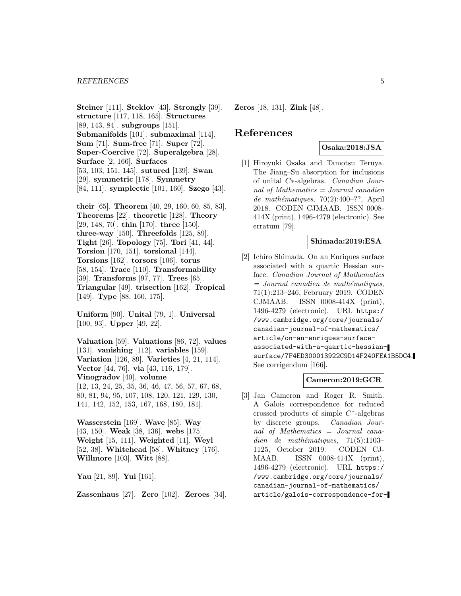**Steiner** [111]. **Steklov** [43]. **Strongly** [39]. **structure** [117, 118, 165]. **Structures** [89, 143, 84]. **subgroups** [151]. **Submanifolds** [101]. **submaximal** [114]. **Sum** [71]. **Sum-free** [71]. **Super** [72]. **Super-Coercive** [72]. **Superalgebra** [28]. **Surface** [2, 166]. **Surfaces** [53, 103, 151, 145]. **sutured** [139]. **Swan** [29]. **symmetric** [178]. **Symmetry** [84, 111]. **symplectic** [101, 160]. **Szego** [43].

**their** [65]. **Theorem** [40, 29, 160, 60, 85, 83]. **Theorems** [22]. **theoretic** [128]. **Theory** [29, 148, 70]. **thin** [170]. **three** [150]. **three-way** [150]. **Threefolds** [125, 89]. **Tight** [26]. **Topology** [75]. **Tori** [41, 44]. **Torsion** [170, 151]. **torsional** [144]. **Torsions** [162]. **torsors** [106]. **torus** [58, 154]. **Trace** [110]. **Transformability** [39]. **Transforms** [97, 77]. **Trees** [65]. **Triangular** [49]. **trisection** [162]. **Tropical** [149]. **Type** [88, 160, 175].

**Uniform** [90]. **Unital** [79, 1]. **Universal** [100, 93]. **Upper** [49, 22].

**Valuation** [59]. **Valuations** [86, 72]. **values** [131]. **vanishing** [112]. **variables** [159]. **Variation** [126, 89]. **Varieties** [4, 21, 114]. **Vector** [44, 76]. **via** [43, 116, 179]. **Vinogradov** [40]. **volume** [12, 13, 24, 25, 35, 36, 46, 47, 56, 57, 67, 68, 80, 81, 94, 95, 107, 108, 120, 121, 129, 130, 141, 142, 152, 153, 167, 168, 180, 181].

**Wasserstein** [169]. **Wave** [85]. **Way** [43, 150]. **Weak** [38, 136]. **webs** [175]. **Weight** [15, 111]. **Weighted** [11]. **Weyl** [52, 38]. **Whitehead** [58]. **Whitney** [176]. **Willmore** [103]. **Witt** [88].

**Yau** [21, 89]. **Yui** [161].

**Zassenhaus** [27]. **Zero** [102]. **Zeroes** [34].

**Zeros** [18, 131]. **Zink** [48].

### **References**

### **Osaka:2018:JSA**

[1] Hiroyuki Osaka and Tamotsu Teruya. The Jiang–Su absorption for inclusions of unital C∗-algebras. Canadian Journal of Mathematics = Journal canadien de mathématiques, 70(2):400-??, April 2018. CODEN CJMAAB. ISSN 0008- 414X (print), 1496-4279 (electronic). See erratum [79].

#### **Shimada:2019:ESA**

[2] Ichiro Shimada. On an Enriques surface associated with a quartic Hessian surface. Canadian Journal of Mathematics  $=$  Journal canadien de mathématiques, 71(1):213–246, February 2019. CODEN CJMAAB. ISSN 0008-414X (print), 1496-4279 (electronic). URL https:/ /www.cambridge.org/core/journals/ canadian-journal-of-mathematics/ article/on-an-enriques-surfaceassociated-with-a-quartic-hessiansurface/7F4ED300013922C9D14F240FEA1B5DC4. See corrigendum [166].

### **Cameron:2019:GCR**

[3] Jan Cameron and Roger R. Smith. A Galois correspondence for reduced crossed products of simple  $C^*$ -algebras by discrete groups. Canadian Journal of Mathematics = Journal canadien de mathématiques,  $71(5):1103-$ 1125, October 2019. CODEN CJ-MAAB. ISSN 0008-414X (print), 1496-4279 (electronic). URL https:/ /www.cambridge.org/core/journals/ canadian-journal-of-mathematics/ article/galois-correspondence-for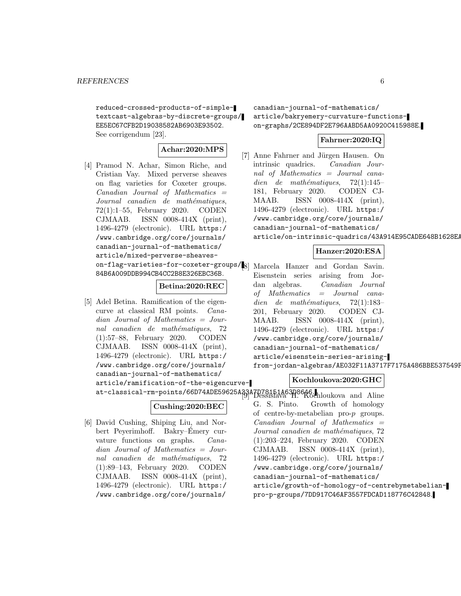reduced-crossed-products-of-simpletextcast-algebras-by-discrete-groups/ EE5EC67CFB2D19038582AB6903E93502. See corrigendum [23].

### **Achar:2020:MPS**

[4] Pramod N. Achar, Simon Riche, and Cristian Vay. Mixed perverse sheaves on flag varieties for Coxeter groups.  $Canadian$  Journal of Mathematics  $=$ Journal canadien de mathématiques, 72(1):1–55, February 2020. CODEN CJMAAB. ISSN 0008-414X (print), 1496-4279 (electronic). URL https:/ /www.cambridge.org/core/journals/ canadian-journal-of-mathematics/ article/mixed-perverse-sheaveson-flag-varieties-for-coxeter-groups/ [8] Marcela Hanzer and Gordan Savin. 84B6A009DDB994CB4CC2B8E326EBC36B.

### **Betina:2020:REC**

[5] Adel Betina. Ramification of the eigencurve at classical RM points. Canadian Journal of Mathematics = Journal canadien de mathématiques, 72 (1):57–88, February 2020. CODEN CJMAAB. ISSN 0008-414X (print), 1496-4279 (electronic). URL https:/ /www.cambridge.org/core/journals/ canadian-journal-of-mathematics/ article/ramification-of-the-eigencurve-

### **Cushing:2020:BEC**

[6] David Cushing, Shiping Liu, and Norbert Peyerimhoff. Bakry–Emery cur- ´ vature functions on graphs. Canadian Journal of Mathematics = Journal canadien de mathématiques, 72 (1):89–143, February 2020. CODEN CJMAAB. ISSN 0008-414X (print), 1496-4279 (electronic). URL https:/ /www.cambridge.org/core/journals/

canadian-journal-of-mathematics/ article/bakryemery-curvature-functionson-graphs/2CE894DF2E796AABD5AA0920C415988E.

### **Fahrner:2020:IQ**

[7] Anne Fahrner and Jürgen Hausen. On intrinsic quadrics. Canadian Journal of Mathematics = Journal canadien de mathématiques,  $72(1):145-$ 181, February 2020. CODEN CJ-MAAB. ISSN 0008-414X (print), 1496-4279 (electronic). URL https:/ /www.cambridge.org/core/journals/ canadian-journal-of-mathematics/ article/on-intrinsic-quadrics/43A914E95CADE648B1628EA

### **Hanzer:2020:ESA**

Eisenstein series arising from Jordan algebras. Canadian Journal of Mathematics = Journal canadien de mathématiques,  $72(1):183-$ 201, February 2020. CODEN CJ-MAAB. ISSN 0008-414X (print), 1496-4279 (electronic). URL https:/ /www.cambridge.org/core/journals/ canadian-journal-of-mathematics/ article/eisenstein-series-arisingfrom-jordan-algebras/AE032F11A3717F7175A486BBE537549F

### **Kochloukova:2020:GHC**

at-classical-rm-points/66D74ADE59625A33A7D78151A63D8646. [9] Dessislava H. Kochloukova and Aline G. S. Pinto. Growth of homology of centre-by-metabelian pro-p groups.  $Canadian$  Journal of Mathematics  $=$ Journal canadien de mathématiques, 72 (1):203–224, February 2020. CODEN CJMAAB. ISSN 0008-414X (print), 1496-4279 (electronic). URL https:/ /www.cambridge.org/core/journals/ canadian-journal-of-mathematics/ article/growth-of-homology-of-centrebymetabelianpro-p-groups/7DD917C46AF3557FDCAD118776C42848.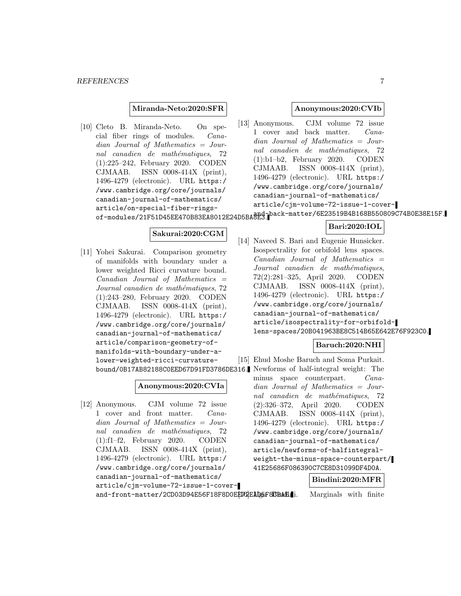#### **Miranda-Neto:2020:SFR**

[10] Cleto B. Miranda-Neto. On special fiber rings of modules. Canadian Journal of Mathematics = Journal canadien de mathématiques, 72 (1):225–242, February 2020. CODEN CJMAAB. ISSN 0008-414X (print), 1496-4279 (electronic). URL https:/ /www.cambridge.org/core/journals/ canadian-journal-of-mathematics/ article/on-special-fiber-ringsand-back-on-depthasing-matter/6E23519B4B168B550809C74B0E38E15F.<br>of-modules/21F51D45EE470B83EA8012E24D5BA8E3.

#### **Anonymous:2020:CVIb**

[13] Anonymous. CJM volume 72 issue 1 cover and back matter. Canadian Journal of Mathematics = Journal canadien de mathématiques, 72 (1):b1–b2, February 2020. CODEN CJMAAB. ISSN 0008-414X (print), 1496-4279 (electronic). URL https:/ /www.cambridge.org/core/journals/ canadian-journal-of-mathematics/ article/cjm-volume-72-issue-1-cover-

### **Bari:2020:IOL**

### **Sakurai:2020:CGM**

[11] Yohei Sakurai. Comparison geometry of manifolds with boundary under a lower weighted Ricci curvature bound.  $Canadian$  Journal of Mathematics  $=$ Journal canadien de mathématiques, 72 (1):243–280, February 2020. CODEN CJMAAB. ISSN 0008-414X (print), 1496-4279 (electronic). URL https:/ /www.cambridge.org/core/journals/ canadian-journal-of-mathematics/ article/comparison-geometry-ofmanifolds-with-boundary-under-alower-weighted-ricci-curvature-

### **Anonymous:2020:CVIa**

[12] Anonymous. CJM volume 72 issue 1 cover and front matter. Canadian Journal of Mathematics = Journal canadien de mathématiques, 72 (1):f1–f2, February 2020. CODEN CJMAAB. ISSN 0008-414X (print), 1496-4279 (electronic). URL https:/ /www.cambridge.org/core/journals/ canadian-journal-of-mathematics/ article/cjm-volume-72-issue-1-coverand-front-matter/2CD03D94E56F18F8D0EE702EAD5F8BBAE.1.

[14] Naveed S. Bari and Eugenie Hunsicker. Isospectrality for orbifold lens spaces.  $Canadian$  Journal of Mathematics  $=$ Journal canadien de mathématiques, 72(2):281–325, April 2020. CODEN CJMAAB. ISSN 0008-414X (print), 1496-4279 (electronic). URL https:/ /www.cambridge.org/core/journals/ canadian-journal-of-mathematics/ article/isospectrality-for-orbifoldlens-spaces/20B041963BE8C514B65E642E76F923C0.

minus space counterpart. Canadian Journal of Mathematics = Journal canadien de mathématiques, 72 (2):326–372, April 2020. CODEN CJMAAB. ISSN 0008-414X (print), 1496-4279 (electronic). URL https:/ /www.cambridge.org/core/journals/ canadian-journal-of-mathematics/ article/newforms-of-halfintegralweight-the-minus-space-counterpart/ 41E25686F086390C7CE8D31099DF4D0A.

#### **Bindini:2020:MFR**

Marginals with finite.

bound/0B17AB82188C0EED67D91FD3786DE316. Newforms of half-integral weight: The **Baruch:2020:NHI** [15] Ehud Moshe Baruch and Soma Purkait.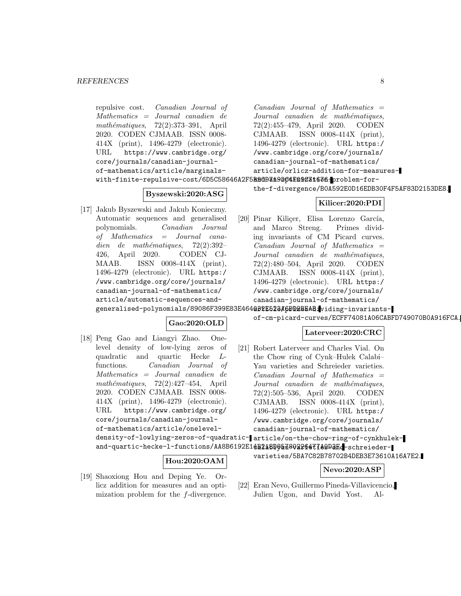```
repulsive cost. Canadian Journal of
    Mathematics = Journal canadien de
    mathématiques, 72(2):373-391, April
   2020. CODEN CJMAAB. ISSN 0008-
   414X (print), 1496-4279 (electronic).
   URL https://www.cambridge.org/
   core/journals/canadian-journal-
   of-mathematics/article/marginals-
    with-finite-repulsive-cost/6D5C58646A2F5BAdD319264F09C31636.problem-for-
                 Byszewski:2020:ASG
[17] Jakub Byszewski and Jakub Konieczny.
    Automatic sequences and generalised
   polynomials. Canadian Journal
    of Mathematics = Journal cana-
    dien de mathématiques, 72(2):392-426, April 2020. CODEN CJ-
   MAAB. ISSN 0008-414X (print),
    1496-4279 (electronic). URL https:/
    /www.cambridge.org/core/journals/
   canadian-journal-of-mathematics/
   article/automatic-sequences-and-
    generalised-polynomials/89086F399E83E464Q32E523A6DD2BEAB.viding-invariants-
                      Gao:2020:OLD
[18] Peng Gao and Liangyi Zhao. One-
   level density of low-lying zeros of
   quadratic and quartic Hecke L-
    functions. Canadian Journal of
    Mathematics = Journal canadien de
    mathématiques, 72(2):427-454, April2020. CODEN CJMAAB. ISSN 0008-
    414X (print), 1496-4279 (electronic).
   URL https://www.cambridge.org/
    core/journals/canadian-journal-
   of-mathematics/article/onelevel-
    density-of-lowlying-zeros-of-quadratic-
article/on-the-chow-ring-of-cynkhulek-
    and-quartic-hecke-1-functions/AA8B6192E14B2å8D95a780226477A9DaF.chreieder-
                                            Canadian Journal of Mathematics =Journal canadien de mathématiques,
                                            72(2):455–479, April 2020. CODEN
                                            CJMAAB. ISSN 0008-414X (print),
                                            1496-4279 (electronic). URL https:/
                                            /www.cambridge.org/core/journals/
                                            canadian-journal-of-mathematics/
                                            article/orlicz-addition-for-measures-
                                            the-f-divergence/B0A592E0D16EDB30F4F5AF83D2153DE8.
                                                             Kilicer:2020:PDI
                                        [20] Pinar Kiliçer, Elisa Lorenzo García,
                                            and Marco Streng. Primes divid-
                                            ing invariants of CM Picard curves.
                                            Canadian Journal of Mathematics =Journal canadien de mathématiques,
                                            72(2):480–504, April 2020. CODEN
                                            CJMAAB. ISSN 0008-414X (print),
                                            1496-4279 (electronic). URL https:/
                                            /www.cambridge.org/core/journals/
                                            canadian-journal-of-mathematics/
                                            of-cm-picard-curves/ECFF74081A06CABFD749070B0A916FCA.
                                                          Laterveer:2020:CRC
                                        [21] Robert Laterveer and Charles Vial. On
                                            the Chow ring of Cynk–Hulek Calabi–
                                            Yau varieties and Schreieder varieties.
                                            Canadian Journal of Mathematics =Journal canadien de mathématiques,
                                            72(2):505–536, April 2020. CODEN
                                            CJMAAB. ISSN 0008-414X (print),
                                            1496-4279 (electronic). URL https:/
                                            /www.cambridge.org/core/journals/
                                            canadian-journal-of-mathematics/
```
#### **Hou:2020:OAM**

- [19] Shaoxiong Hou and Deping Ye. Orlicz addition for measures and an optimization problem for the f-divergence.
- [22] Eran Nevo, Guillermo Pineda-Villavicencio, Julien Ugon, and David Yost. Al-

varieties/5BA7C82B78702B4DEB3E73610A16A7E2.

**Nevo:2020:ASP**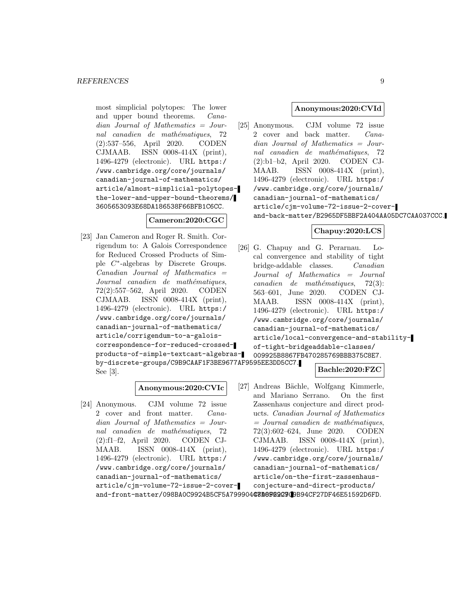most simplicial polytopes: The lower and upper bound theorems. Canadian Journal of Mathematics = Journal canadien de mathématiques, 72 (2):537–556, April 2020. CODEN CJMAAB. ISSN 0008-414X (print), 1496-4279 (electronic). URL https:/ /www.cambridge.org/core/journals/ canadian-journal-of-mathematics/ article/almost-simplicial-polytopesthe-lower-and-upper-bound-theorems/ 3605653093E68DA186538F66BFB1C6CC.

### **Cameron:2020:CGC**

[23] Jan Cameron and Roger R. Smith. Corrigendum to: A Galois Correspondence for Reduced Crossed Products of Simple C∗-algebras by Discrete Groups. Canadian Journal of Mathematics = Journal canadien de mathématiques, 72(2):557–562, April 2020. CODEN CJMAAB. ISSN 0008-414X (print), 1496-4279 (electronic). URL https:/ /www.cambridge.org/core/journals/ canadian-journal-of-mathematics/ article/corrigendum-to-a-galoiscorrespondence-for-reduced-crossedproducts-of-simple-textcast-algebrasby-discrete-groups/C9B9CAAF1F3BE9677AF9595EE3DD5CC7. See [3].

#### **Anonymous:2020:CVIc**

[24] Anonymous. CJM volume 72 issue 2 cover and front matter. Canadian Journal of Mathematics = Journal canadien de mathématiques, 72 (2):f1–f2, April 2020. CODEN CJ-MAAB. ISSN 0008-414X (print), 1496-4279 (electronic). URL https:/ /www.cambridge.org/core/journals/ canadian-journal-of-mathematics/ article/cjm-volume-72-issue-2-cover-

#### **Anonymous:2020:CVId**

[25] Anonymous. CJM volume 72 issue 2 cover and back matter. Canadian Journal of Mathematics = Journal canadien de mathématiques, 72 (2):b1–b2, April 2020. CODEN CJ-MAAB. ISSN 0008-414X (print), 1496-4279 (electronic). URL https:/ /www.cambridge.org/core/journals/ canadian-journal-of-mathematics/ article/cjm-volume-72-issue-2-coverand-back-matter/B2965DF5BBF2A404AA05DC7CAA037CCC.

### **Chapuy:2020:LCS**

[26] G. Chapuy and G. Perarnau. Local convergence and stability of tight bridge-addable classes. Canadian Journal of Mathematics = Journal  $cana dien$  de mathématiques, 72(3): 563–601, June 2020. CODEN CJ-MAAB. ISSN 0008-414X (print), 1496-4279 (electronic). URL https:/ /www.cambridge.org/core/journals/ canadian-journal-of-mathematics/ article/local-convergence-and-stabilityof-tight-bridgeaddable-classes/ 009925B8867FB470285769BBB375C8E7.

#### **Bachle:2020:FZC**

[27] Andreas Bächle, Wolfgang Kimmerle, and Mariano Serrano. On the first Zassenhaus conjecture and direct products. Canadian Journal of Mathematics  $=$  Journal canadien de mathématiques, 72(3):602–624, June 2020. CODEN CJMAAB. ISSN 0008-414X (print), 1496-4279 (electronic). URL https:/ /www.cambridge.org/core/journals/ canadian-journal-of-mathematics/ article/on-the-first-zassenhausconjecture-and-direct-products/

and-front-matter/098BA0C9924B5CF5A79990443D6B0202909B94CF27DF46E51592D6FD.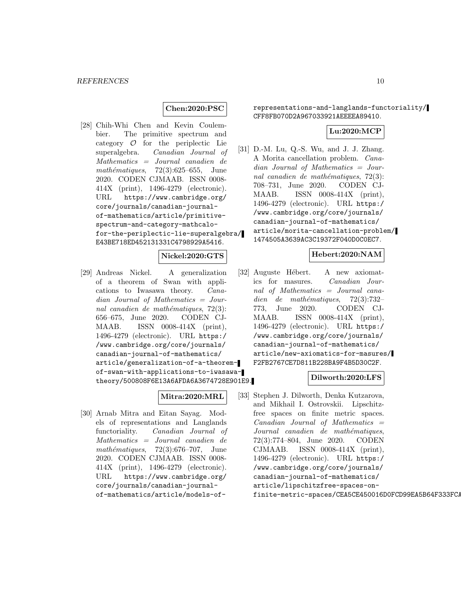#### **Chen:2020:PSC**

[28] Chih-Whi Chen and Kevin Coulembier. The primitive spectrum and category  $O$  for the periplectic Lie superalgebra. Canadian Journal of Canadian Journal of Mathematics = Journal canadien de mathématiques,  $72(3):625-655$ , June 2020. CODEN CJMAAB. ISSN 0008- 414X (print), 1496-4279 (electronic). URL https://www.cambridge.org/ core/journals/canadian-journalof-mathematics/article/primitivespectrum-and-category-mathcalofor-the-periplectic-lie-superalgebra/ E43BE718ED452131331C4798929A5416.

#### **Nickel:2020:GTS**

[29] Andreas Nickel. A generalization of a theorem of Swan with applications to Iwasawa theory. Canadian Journal of Mathematics = Journal canadien de mathématiques,  $72(3)$ : 656–675, June 2020. CODEN CJ-MAAB. ISSN 0008-414X (print), 1496-4279 (electronic). URL https:/ /www.cambridge.org/core/journals/ canadian-journal-of-mathematics/ article/generalization-of-a-theoremof-swan-with-applications-to-iwasawatheory/500808F6E13A6AFDA6A3674728E901E9.

### **Mitra:2020:MRL**

[30] Arnab Mitra and Eitan Sayag. Models of representations and Langlands functoriality. Canadian Journal of Mathematics = Journal canadien de  $mathématiques, 72(3):676-707, June$ 2020. CODEN CJMAAB. ISSN 0008- 414X (print), 1496-4279 (electronic). URL https://www.cambridge.org/ core/journals/canadian-journalof-mathematics/article/models-ofrepresentations-and-langlands-functoriality/ CFF8FB070D2A967033921AEEEEA89410.

### **Lu:2020:MCP**

[31] D.-M. Lu, Q.-S. Wu, and J. J. Zhang. A Morita cancellation problem. Canadian Journal of Mathematics = Journal canadien de mathématiques,  $72(3)$ : 708–731, June 2020. CODEN CJ-MAAB. ISSN 0008-414X (print), 1496-4279 (electronic). URL https:/ /www.cambridge.org/core/journals/ canadian-journal-of-mathematics/ article/morita-cancellation-problem/ 1474505A3639AC3C19372F040D0C0EC7.

### **Hebert:2020:NAM**

[32] Auguste Hébert. A new axiomatics for masures. Canadian Journal of Mathematics = Journal canadien de mathématiques,  $72(3):732-$ 773, June 2020. CODEN CJ-MAAB. ISSN 0008-414X (print), 1496-4279 (electronic). URL https:/ /www.cambridge.org/core/journals/ canadian-journal-of-mathematics/ article/new-axiomatics-for-masures/ F2FB2767CE7D811B228BA9F4B5D30C2F.

#### **Dilworth:2020:LFS**

[33] Stephen J. Dilworth, Denka Kutzarova, and Mikhail I. Ostrovskii. Lipschitzfree spaces on finite metric spaces.  $Canadian$  Journal of Mathematics  $=$ Journal canadien de mathématiques, 72(3):774–804, June 2020. CODEN CJMAAB. ISSN 0008-414X (print), 1496-4279 (electronic). URL https:/ /www.cambridge.org/core/journals/ canadian-journal-of-mathematics/ article/lipschitzfree-spaces-onfinite-metric-spaces/CEA5CE450016D0FCD99EA5B64F333FCA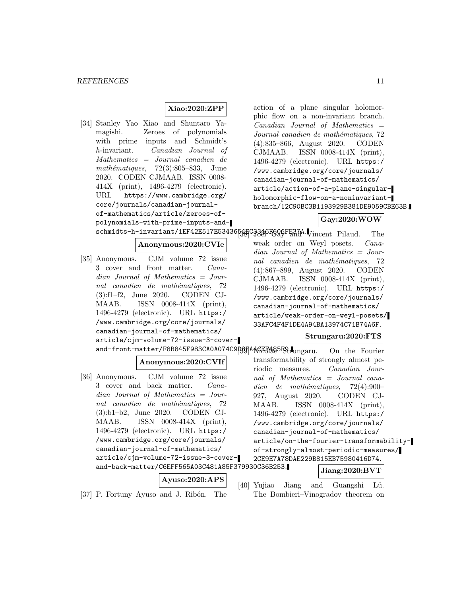### **Xiao:2020:ZPP**

[34] Stanley Yao Xiao and Shuntaro Yamagishi. Zeroes of polynomials with prime inputs and Schmidt's h-invariant. Canadian Journal of Mathematics = Journal canadien de mathématiques,  $72(3):805-833$ , June 2020. CODEN CJMAAB. ISSN 0008- 414X (print), 1496-4279 (electronic). URL https://www.cambridge.org/ core/journals/canadian-journalof-mathematics/article/zeroes-ofpolynomials-with-prime-inputs-andschmidts-h-invariant/1EF42E517E5343654EC3346F608FE37A. Vincent Pilaud. The **Anonymous:2020:CVIe** [35] Anonymous. CJM volume 72 issue 3 cover and front matter. Canadian Journal of Mathematics = Journal canadien de mathématiques, 72 (3):f1–f2, June 2020. CODEN CJ-MAAB. ISSN 0008-414X (print), 1496-4279 (electronic). URL https:/ /www.cambridge.org/core/journals/ canadian-journal-of-mathematics/ article/cjm-volume-72-issue-3-coverand-front-matter/F8B845F983CA0A074C9D8EAAGEF1885F9. ungaru. On the Fourier **Anonymous:2020:CVIf** [36] Anonymous. CJM volume 72 issue 3 cover and back matter. Canadian Journal of Mathematics = Journal canadien de mathématiques, 72 (3):b1–b2, June 2020. CODEN CJ-MAAB. ISSN 0008-414X (print), 1496-4279 (electronic). URL https:/ /www.cambridge.org/core/journals/ canadian-journal-of-mathematics/ article/cjm-volume-72-issue-3-coverand-back-matter/C6EFF565A03C481A85F379930C36B253. **Ayuso:2020:APS** phic flow on a non-invariant branch.  $Canadian$  Journal of Mathematics  $=$ Journal canadien de mathématiques, 72 (4):835–866, August 2020. CODEN CJMAAB. ISSN 0008-414X (print), 1496-4279 (electronic). URL https:/ /www.cambridge.org/core/journals/ canadian-journal-of-mathematics/ article/action-of-a-plane-singularholomorphic-flow-on-a-noninvariantbranch/12C90BC3B1193929B381DE9059CBE63B. **Gay:2020:WOW** weak order on Weyl posets. Canadian Journal of Mathematics = Journal canadien de mathématiques, 72 (4):867–899, August 2020. CODEN CJMAAB. ISSN 0008-414X (print), 1496-4279 (electronic). URL https:/ /www.cambridge.org/core/journals/ canadian-journal-of-mathematics/ article/weak-order-on-weyl-posets/ 33AFC4F4F1DE4A94BA13974C71B74A6F. **Strungaru:2020:FTS** transformability of strongly almost periodic measures. Canadian Journal of Mathematics = Journal canadien de mathématiques,  $72(4):900-$ 927, August 2020. CODEN CJ-MAAB. ISSN 0008-414X (print), 1496-4279 (electronic). URL https:/ /www.cambridge.org/core/journals/ canadian-journal-of-mathematics/ article/on-the-fourier-transformabilityof-strongly-almost-periodic-measures/ 2CE9E7A78DAE229B815EB75980416D74. **Jiang:2020:BVT**

[37] P. Fortuny Ayuso and J. Ribón. The

[40] Yujiao Jiang and Guangshi Lü. The Bombieri–Vinogradov theorem on

action of a plane singular holomor-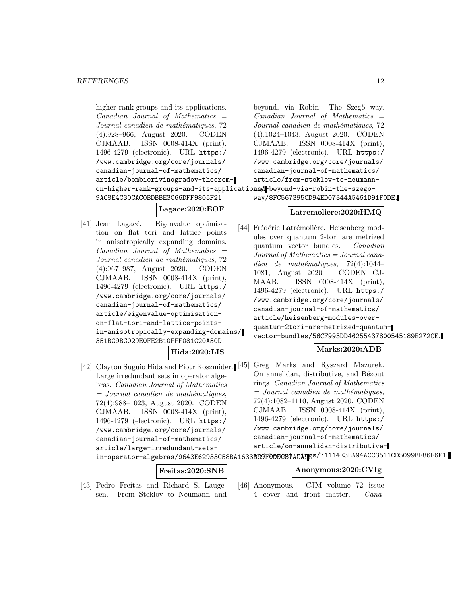higher rank groups and its applications.  $Canadian$  Journal of Mathematics  $=$ Journal canadien de mathématiques, 72 (4):928–966, August 2020. CODEN CJMAAB. ISSN 0008-414X (print), 1496-4279 (electronic). URL https:/ /www.cambridge.org/core/journals/ canadian-journal-of-mathematics/ article/bombierivinogradov-theoremon-higher-rank-groups-and-its-applicatio**nn** $d$  beyond-via-robin-the-szego-9AC8E4C30CAC0BDBBE3C66DFF9805F21.

**Lagace:2020:EOF**

[41] Jean Lagacé. Eigenvalue optimisation on flat tori and lattice points in anisotropically expanding domains.  $Canadian$  Journal of Mathematics  $=$ Journal canadien de mathématiques, 72 (4):967–987, August 2020. CODEN CJMAAB. ISSN 0008-414X (print), 1496-4279 (electronic). URL https:/ /www.cambridge.org/core/journals/ canadian-journal-of-mathematics/ article/eigenvalue-optimisationon-flat-tori-and-lattice-pointsin-anisotropically-expanding-domains/ 351BC9BC029E0FE2B10FFF081C20A50D.

**Hida:2020:LIS**

Large irredundant sets in operator algebras. Canadian Journal of Mathematics  $=$  Journal canadien de mathématiques, 72(4):988–1023, August 2020. CODEN CJMAAB. ISSN 0008-414X (print), 1496-4279 (electronic). URL https:/ /www.cambridge.org/core/journals/ canadian-journal-of-mathematics/ article/large-irredundant-setsin-operator-algebras/9643E62933C58BA1633BC9F0BBC87ACATEs/71114E3BA94ACC3511CD5099BF86F6E1.

# **Freitas:2020:SNB**

[43] Pedro Freitas and Richard S. Laugesen. From Steklov to Neumann and beyond, via Robin: The Szegő way.  $Canadian$  Journal of Mathematics  $=$ Journal canadien de mathématiques, 72 (4):1024–1043, August 2020. CODEN CJMAAB. ISSN 0008-414X (print), 1496-4279 (electronic). URL https:/ /www.cambridge.org/core/journals/ canadian-journal-of-mathematics/ article/from-steklov-to-neumannway/8FC567395CD94ED07344A5461D91F0DE.

### **Latremoliere:2020:HMQ**

[44] Frédéric Latrémolière. Heisenberg modules over quantum 2-tori are metrized quantum vector bundles. Canadian Journal of Mathematics = Journal canadien de mathématiques,  $72(4):1044-$ 1081, August 2020. CODEN CJ-MAAB. ISSN 0008-414X (print), 1496-4279 (electronic). URL https:/ /www.cambridge.org/core/journals/ canadian-journal-of-mathematics/ article/heisenberg-modules-overquantum-2tori-are-metrized-quantumvector-bundles/56CF993DD46255437800545189E272CE.

### **Marks:2020:ADB**

[42] Clayton Suguio Hida and Piotr Koszmider. [45] Greg Marks and Ryszard Mazurek. On annelidan, distributive, and Bézout rings. Canadian Journal of Mathematics  $=$  Journal canadien de mathématiques, 72(4):1082–1110, August 2020. CODEN CJMAAB. ISSN 0008-414X (print), 1496-4279 (electronic). URL https:/ /www.cambridge.org/core/journals/ canadian-journal-of-mathematics/ article/on-annelidan-distributive-

### **Anonymous:2020:CVIg**

[46] Anonymous. CJM volume 72 issue 4 cover and front matter. Cana-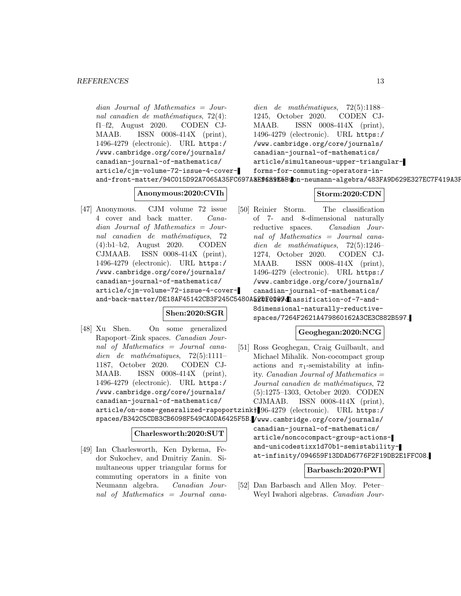dian Journal of Mathematics = Journal canadien de mathématiques,  $72(4)$ : f1–f2, August 2020. CODEN CJ-MAAB. ISSN 0008-414X (print), 1496-4279 (electronic). URL https:/ /www.cambridge.org/core/journals/ canadian-journal-of-mathematics/ article/cjm-volume-72-issue-4-coverand-front-matter/94C015D92A7065A35FC697A**3E96B9E5B:Io**n-neumann-algebra/483FA9D629E327EC7F419A3F dien de mathématiques,  $72(5):1188-$ 1245, October 2020. CODEN CJ-MAAB. ISSN 0008-414X (print), 1496-4279 (electronic). URL https:/ /www.cambridge.org/core/journals/ canadian-journal-of-mathematics/ article/simultaneous-upper-triangularforms-for-commuting-operators-in-

### **Anonymous:2020:CVIh**

[47] Anonymous. CJM volume 72 issue 4 cover and back matter. Canadian Journal of Mathematics = Journal canadien de mathématiques, 72 (4):b1–b2, August 2020. CODEN CJMAAB. ISSN 0008-414X (print), 1496-4279 (electronic). URL https:/ /www.cambridge.org/core/journals/ canadian-journal-of-mathematics/ article/cjm-volume-72-issue-4-coverand-back-matter/DE18AF45142CB3F245C5480A52DF0099dlassification-of-7-and-

### **Shen:2020:SGR**

[48] Xu Shen. On some generalized Rapoport–Zink spaces. Canadian Journal of Mathematics = Journal canadien de mathématiques,  $72(5):1111-$ 1187, October 2020. CODEN CJ-MAAB. ISSN 0008-414X (print), 1496-4279 (electronic). URL https:/ /www.cambridge.org/core/journals/ canadian-journal-of-mathematics/

### **Charlesworth:2020:SUT**

[49] Ian Charlesworth, Ken Dykema, Fedor Sukochev, and Dmitriy Zanin. Simultaneous upper triangular forms for commuting operators in a finite von Neumann algebra. Canadian Journal of Mathematics = Journal cana-

### **Storm:2020:CDN**

[50] Reinier Storm. The classification of 7- and 8-dimensional naturally reductive spaces. Canadian Journal of Mathematics = Journal canadien de mathématiques,  $72(5):1246-$ 1274, October 2020. CODEN CJ-MAAB. ISSN 0008-414X (print), 1496-4279 (electronic). URL https:/ /www.cambridge.org/core/journals/ canadian-journal-of-mathematics/

> 8dimensional-naturally-reductivespaces/7264F2621A479860162A3CE3C882B597.

### **Geoghegan:2020:NCG**

article/on-some-generalized-rapoportzink-1496-4279 (electronic). URL https:/ spaces/B342C5CDB3CB6098F549CA0DA6425F5B. /www.cambridge.org/core/journals/ [51] Ross Geoghegan, Craig Guilbault, and Michael Mihalik. Non-cocompact group actions and  $\pi_1$ -semistability at infinity. Canadian Journal of Mathematics = Journal canadien de mathématiques, 72 (5):1275–1303, October 2020. CODEN CJMAAB. ISSN 0008-414X (print), canadian-journal-of-mathematics/ article/noncocompact-group-actionsand-unicodestixx1d70b1-semistability-

at-infinity/094659F13DDAD6776F2F19DB2E1FFC08.

### **Barbasch:2020:PWI**

[52] Dan Barbasch and Allen Moy. Peter– Weyl Iwahori algebras. Canadian Jour-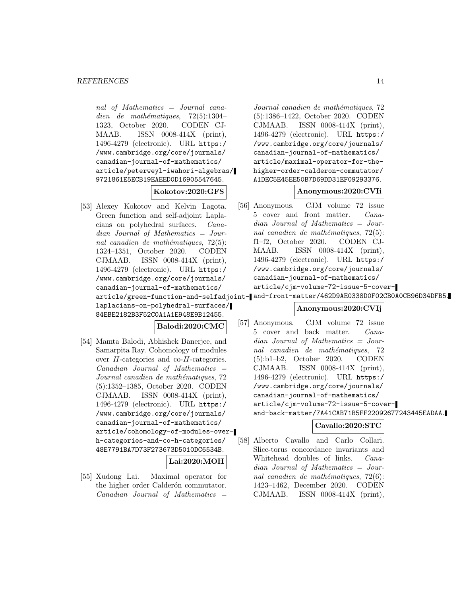nal of Mathematics = Journal canadien de mathématiques,  $72(5):1304-$ 1323, October 2020. CODEN CJ-MAAB. ISSN 0008-414X (print), 1496-4279 (electronic). URL https:/ /www.cambridge.org/core/journals/ canadian-journal-of-mathematics/ article/peterweyl-iwahori-algebras/ 9721861E5ECB19EAEED0D16905547645.

### **Kokotov:2020:GFS**

[53] Alexey Kokotov and Kelvin Lagota. Green function and self-adjoint Laplacians on polyhedral surfaces. Canadian Journal of Mathematics = Journal canadien de mathématiques,  $72(5)$ : 1324–1351, October 2020. CODEN CJMAAB. ISSN 0008-414X (print), 1496-4279 (electronic). URL https:/ /www.cambridge.org/core/journals/ canadian-journal-of-mathematics/ laplacians-on-polyhedral-surfaces/ 84EBE2182B3F52C0A1A1E948E9B12455.

### **Balodi:2020:CMC**

[54] Mamta Balodi, Abhishek Banerjee, and Samarpita Ray. Cohomology of modules over H-categories and co-H-categories.  $Canadian$  Journal of Mathematics  $=$ Journal canadien de mathématiques, 72 (5):1352–1385, October 2020. CODEN CJMAAB. ISSN 0008-414X (print), 1496-4279 (electronic). URL https:/ /www.cambridge.org/core/journals/ canadian-journal-of-mathematics/ article/cohomology-of-modules-overh-categories-and-co-h-categories/ 48E7791BA7D73F273673D5010DC6534B.

### **Lai:2020:MOH**

[55] Xudong Lai. Maximal operator for the higher order Calderón commutator.  $Canadian$  Journal of Mathematics  $=$ 

Journal canadien de mathématiques, 72 (5):1386–1422, October 2020. CODEN CJMAAB. ISSN 0008-414X (print), 1496-4279 (electronic). URL https:/ /www.cambridge.org/core/journals/ canadian-journal-of-mathematics/ article/maximal-operator-for-thehigher-order-calderon-commutator/ A1DEC5E45EE50B7D69DD31EF09293376.

### **Anonymous:2020:CVIi**

[56] Anonymous. CJM volume 72 issue 5 cover and front matter. Canadian Journal of Mathematics = Journal canadien de mathématiques,  $72(5)$ : f1–f2, October 2020. CODEN CJ-MAAB. ISSN 0008-414X (print), 1496-4279 (electronic). URL https:/ /www.cambridge.org/core/journals/ canadian-journal-of-mathematics/ article/cjm-volume-72-issue-5-cover-

## article/green-function-and-selfadjoint-and-front-matter/462D9AE0338D0F02CB0A0CB96D34DFB5.

### **Anonymous:2020:CVIj**

[57] Anonymous. CJM volume 72 issue 5 cover and back matter. Canadian Journal of Mathematics = Journal canadien de mathématiques, 72 (5):b1–b2, October 2020. CODEN CJMAAB. ISSN 0008-414X (print), 1496-4279 (electronic). URL https:/ /www.cambridge.org/core/journals/ canadian-journal-of-mathematics/ article/cjm-volume-72-issue-5-coverand-back-matter/7A41CAB71B5FF22092677243445EADAA.

### **Cavallo:2020:STC**

[58] Alberto Cavallo and Carlo Collari. Slice-torus concordance invariants and Whitehead doubles of links. Canadian Journal of Mathematics = Journal canadien de mathématiques,  $72(6)$ : 1423–1462, December 2020. CODEN CJMAAB. ISSN 0008-414X (print),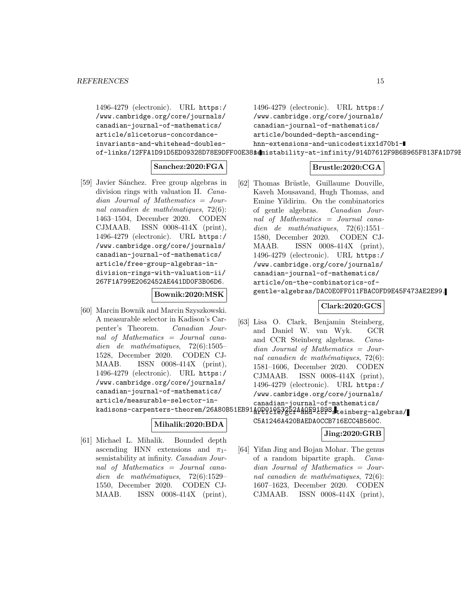1496-4279 (electronic). URL https:/ /www.cambridge.org/core/journals/ canadian-journal-of-mathematics/ article/slicetorus-concordanceinvariants-and-whitehead-doublesof-links/12FFA1D91D5ED09328D78E9DFF00E38\$dmistability-at-infinity/914D7612F9B6B965F813FA1D79E 1496-4279 (electronic). URL https:/ /www.cambridge.org/core/journals/ canadian-journal-of-mathematics/ article/bounded-depth-ascendinghnn-extensions-and-unicodestixx1d70b1-

### **Sanchez:2020:FGA**

[59] Javier Sánchez. Free group algebras in division rings with valuation II. Canadian Journal of Mathematics = Journal canadien de mathématiques,  $72(6)$ : 1463–1504, December 2020. CODEN CJMAAB. ISSN 0008-414X (print), 1496-4279 (electronic). URL https:/ /www.cambridge.org/core/journals/ canadian-journal-of-mathematics/ article/free-group-algebras-indivision-rings-with-valuation-ii/ 267F1A799E2062452AE441DD0F3B06D6.

#### **Bownik:2020:MSK**

[60] Marcin Bownik and Marcin Szyszkowski. A measurable selector in Kadison's Carpenter's Theorem. Canadian Journal of Mathematics = Journal canadien de mathématiques,  $72(6):1505-$ 1528, December 2020. CODEN CJ-MAAB. ISSN 0008-414X (print), 1496-4279 (electronic). URL https:/ /www.cambridge.org/core/journals/ canadian-journal-of-mathematics/ article/measurable-selector-in-

### **Mihalik:2020:BDA**

[61] Michael L. Mihalik. Bounded depth ascending HNN extensions and  $\pi_1$ semistability at infinity. Canadian Journal of Mathematics = Journal canadien de mathématiques,  $72(6):1529-$ 1550, December 2020. CODEN CJ-MAAB. ISSN 0008-414X (print),

### **Brustle:2020:CGA**

[62] Thomas Brüstle, Guillaume Douville, Kaveh Mousavand, Hugh Thomas, and Emine Yildirim. On the combinatorics of gentle algebras. Canadian Journal of Mathematics = Journal canadien de mathématiques,  $72(6):1551-$ 1580, December 2020. CODEN CJ-MAAB. ISSN 0008-414X (print), 1496-4279 (electronic). URL https:/ /www.cambridge.org/core/journals/ canadian-journal-of-mathematics/ article/on-the-combinatorics-ofgentle-algebras/DAC0E0FF011FBAC0FD9E45F473AE2E99.

### **Clark:2020:GCS**

[63] Lisa O. Clark, Benjamin Steinberg, and Daniel W. van Wyk. GCR and CCR Steinberg algebras. Canadian Journal of Mathematics = Journal canadien de mathématiques,  $72(6)$ : 1581–1606, December 2020. CODEN CJMAAB. ISSN 0008-414X (print), 1496-4279 (electronic). URL https:/ /www.cambridge.org/core/journals/ canadian-journal-of-mathematics/

kadisons-carpenters-theorem/26A80B51EB91AOPQ10532524AAR91898.teinberg-algebras/

#### C5A1246A420BAEDA0CCB716ECC4B560C.

### **Jing:2020:GRB**

[64] Yifan Jing and Bojan Mohar. The genus of a random bipartite graph. Canadian Journal of Mathematics = Journal canadien de mathématiques,  $72(6)$ : 1607–1623, December 2020. CODEN CJMAAB. ISSN  $0008-414X$  (print),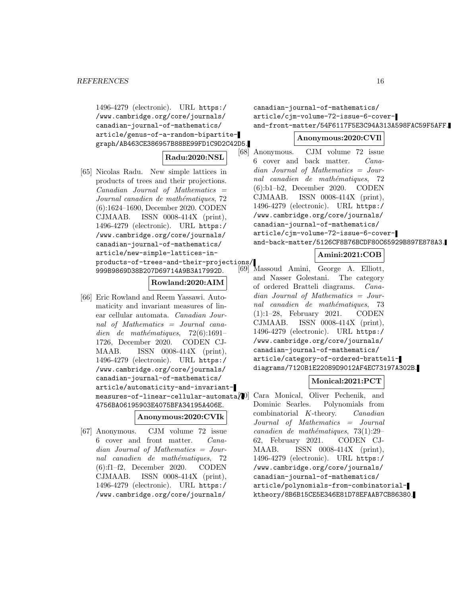1496-4279 (electronic). URL https:/ /www.cambridge.org/core/journals/ canadian-journal-of-mathematics/ article/genus-of-a-random-bipartitegraph/AB463CE386957B88BE99FD1C9D2C42D5.

### **Radu:2020:NSL**

[65] Nicolas Radu. New simple lattices in products of trees and their projections.  $Canadian$  Journal of Mathematics  $=$ Journal canadien de mathématiques, 72 (6):1624–1690, December 2020. CODEN CJMAAB. ISSN 0008-414X (print), 1496-4279 (electronic). URL https:/ /www.cambridge.org/core/journals/ canadian-journal-of-mathematics/ article/new-simple-lattices-inproducts-of-trees-and-their-projections/ 999B9869D38B207D69714A9B3A17992D.

#### **Rowland:2020:AIM**

[66] Eric Rowland and Reem Yassawi. Automaticity and invariant measures of linear cellular automata. Canadian Journal of Mathematics = Journal canadien de mathématiques,  $72(6):1691-$ 1726, December 2020. CODEN CJ-MAAB. ISSN 0008-414X (print), 1496-4279 (electronic). URL https:/ /www.cambridge.org/core/journals/ canadian-journal-of-mathematics/ article/automaticity-and-invariantmeasures-of-linear-cellular-automata/ 4756BA06195903E4075BFA34195A406E.

### **Anonymous:2020:CVIk**

[67] Anonymous. CJM volume 72 issue 6 cover and front matter. Canadian Journal of Mathematics = Journal canadien de mathématiques, 72 (6):f1–f2, December 2020. CODEN CJMAAB. ISSN 0008-414X (print), 1496-4279 (electronic). URL https:/ /www.cambridge.org/core/journals/

canadian-journal-of-mathematics/ article/cjm-volume-72-issue-6-coverand-front-matter/54F6117F5E3C94A313A598FAC59F5AFF.

#### **Anonymous:2020:CVIl**

[68] Anonymous. CJM volume 72 issue 6 cover and back matter. Canadian Journal of Mathematics = Journal canadien de mathématiques, 72 (6):b1–b2, December 2020. CODEN CJMAAB. ISSN 0008-414X (print), 1496-4279 (electronic). URL https:/ /www.cambridge.org/core/journals/ canadian-journal-of-mathematics/ article/cjm-volume-72-issue-6-coverand-back-matter/5126CF8B76BCDF80C65929B897E878A3.

### **Amini:2021:COB**

[69] Massoud Amini, George A. Elliott, and Nasser Golestani. The category of ordered Bratteli diagrams. Canadian Journal of Mathematics = Journal canadien de mathématiques, 73 (1):1–28, February 2021. CODEN CJMAAB. ISSN 0008-414X (print), 1496-4279 (electronic). URL https:/ /www.cambridge.org/core/journals/ canadian-journal-of-mathematics/ article/category-of-ordered-brattelidiagrams/7120B1E22089D9012AF4EC73197A302B.

### **Monical:2021:PCT**

Cara Monical, Oliver Pechenik, and Dominic Searles. Polynomials from combinatorial K-theory. Canadian Journal of Mathematics = Journal canadien de mathématiques,  $73(1):29-$ 62, February 2021. CODEN CJ-MAAB. ISSN 0008-414X (print), 1496-4279 (electronic). URL https:/ /www.cambridge.org/core/journals/ canadian-journal-of-mathematics/ article/polynomials-from-combinatorialktheory/8B6B15CE5E346E81D78EFAAB7CB86380.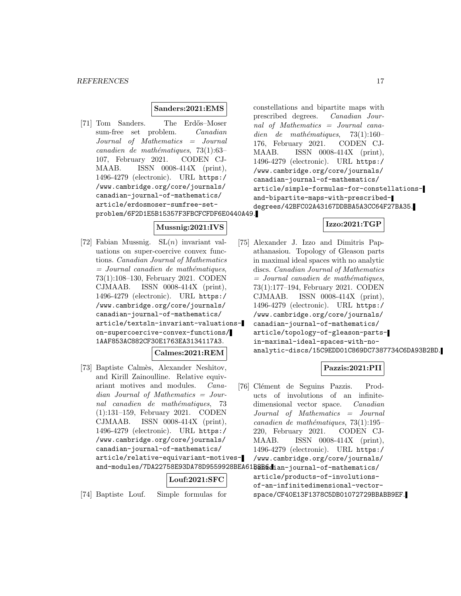#### **Sanders:2021:EMS**

[71] Tom Sanders. The Erdős–Moser sum-free set problem. Canadian Journal of Mathematics = Journal canadien de mathématiques,  $73(1):63-$ 107, February 2021. CODEN CJ-MAAB. ISSN 0008-414X (print), 1496-4279 (electronic). URL https:/ /www.cambridge.org/core/journals/ canadian-journal-of-mathematics/ article/erdosmoser-sumfree-setproblem/6F2D1E5B15357F3FBCFCFDF6E0440A49.

#### **Mussnig:2021:IVS**

**Calmes:2021:REM**

[72] Fabian Mussnig.  $SL(n)$  invariant valuations on super-coercive convex functions. Canadian Journal of Mathematics  $=$  Journal canadien de mathématiques, 73(1):108–130, February 2021. CODEN CJMAAB. ISSN 0008-414X (print), 1496-4279 (electronic). URL https:/ /www.cambridge.org/core/journals/ canadian-journal-of-mathematics/ article/textsln-invariant-valuationson-supercoercive-convex-functions/ 1AAF853AC882CF30E1763EA3134117A3.

```
[73] Baptiste Calmès, Alexander Neshitov,
    and Kirill Zainoulline. Relative equiv-
    ariant motives and modules. Cana-
    dian Journal of Mathematics = Jour-
    nal canadien de mathématiques, 73
    (1):131–159, February 2021. CODEN
    CJMAAB. ISSN 0008-414X (print),
    1496-4279 (electronic). URL https:/
    /www.cambridge.org/core/journals/
    canadian-journal-of-mathematics/
    article/relative-equivariant-motives-
```
### **Louf:2021:SFC**

[74] Baptiste Louf. Simple formulas for

constellations and bipartite maps with prescribed degrees. Canadian Journal of Mathematics = Journal canadien de mathématiques,  $73(1):160-$ 176, February 2021. CODEN CJ-MAAB. ISSN 0008-414X (print), 1496-4279 (electronic). URL https:/ /www.cambridge.org/core/journals/ canadian-journal-of-mathematics/ article/simple-formulas-for-constellationsand-bipartite-maps-with-prescribeddegrees/42BFC02A43167DDBBA5A3CC64F27BA35.

### **Izzo:2021:TGP**

[75] Alexander J. Izzo and Dimitris Papathanasiou. Topology of Gleason parts in maximal ideal spaces with no analytic discs. Canadian Journal of Mathematics  $=$  Journal canadien de mathématiques, 73(1):177–194, February 2021. CODEN CJMAAB. ISSN 0008-414X (print), 1496-4279 (electronic). URL https:/ /www.cambridge.org/core/journals/ canadian-journal-of-mathematics/ article/topology-of-gleason-partsin-maximal-ideal-spaces-with-noanalytic-discs/15C9EDD01C869DC7387734C6DA93B2BD.

### **Pazzis:2021:PII**

[76] Clément de Seguins Pazzis. Products of involutions of an infinitedimensional vector space. Canadian Journal of Mathematics = Journal canadien de mathématiques,  $73(1):195-$ 220, February 2021. CODEN CJ-MAAB. ISSN 0008-414X (print), 1496-4279 (electronic). URL https:/ /www.cambridge.org/core/journals/

and-modules/7DA22758E93DA78D9559928BEA61B@Badian-journal-of-mathematics/ article/products-of-involutionsof-an-infinitedimensional-vectorspace/CF40E13F1378C5DB01072729BBABB9EF.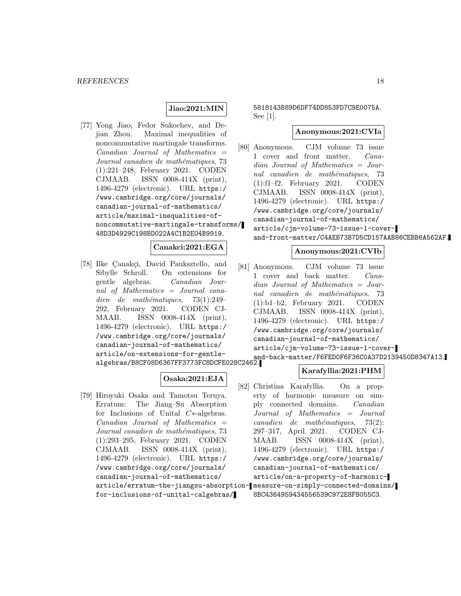### **Jiao:2021:MIN**

[77] Yong Jiao, Fedor Sukochev, and Dejian Zhou. Maximal inequalities of noncommutative martingale transforms.  $Canadian$  Journal of Mathematics  $=$ Journal canadien de mathématiques, 73 (1):221–248, February 2021. CODEN CJMAAB. ISSN 0008-414X (print), 1496-4279 (electronic). URL https:/ /www.cambridge.org/core/journals/ canadian-journal-of-mathematics/ article/maximal-inequalities-ofnoncommutative-martingale-transforms/ 48D3D4929C198BD022A4C1B2E04B9919.

### **Canakci:2021:EGA**

[78] Ilke Çanakçi, David Pauksztello, and Sibylle Schroll. On extensions for gentle algebras. Canadian Journal of Mathematics = Journal canadien de mathématiques,  $73(1):249-$ 292, February 2021. CODEN CJ-MAAB. ISSN 0008-414X (print), 1496-4279 (electronic). URL https:/ /www.cambridge.org/core/journals/ canadian-journal-of-mathematics/ article/on-extensions-for-gentlealgebras/B8CF08D6367FF3773FC8DCFE028C2462.

### **Osaka:2021:EJA**

[79] Hiroyuki Osaka and Tamotsu Teruya. Erratum: The Jiang–Su Absorption for Inclusions of Unital C∗-algebras.  $Canadian$  Journal of Mathematics  $=$ Journal canadien de mathématiques, 73 (1):293–295, February 2021. CODEN CJMAAB. ISSN 0008-414X (print), 1496-4279 (electronic). URL https:/ /www.cambridge.org/core/journals/ canadian-journal-of-mathematics/ for-inclusions-of-unital-calgebras/ 5818143B89D6DF74DD853FD7C9E0075A. See [1].

### **Anonymous:2021:CVIa**

[80] Anonymous. CJM volume 73 issue 1 cover and front matter. Canadian Journal of Mathematics = Journal canadien de mathématiques, 73 (1):f1–f2, February 2021. CODEN CJMAAB. ISSN 0008-414X (print), 1496-4279 (electronic). URL https:/ /www.cambridge.org/core/journals/ canadian-journal-of-mathematics/ article/cjm-volume-73-issue-1-coverand-front-matter/C4AEB73B7D5CD157AAB86CEBB6A562AF.

#### **Anonymous:2021:CVIb**

[81] Anonymous. CJM volume 73 issue 1 cover and back matter. Canadian Journal of Mathematics = Journal canadien de mathématiques, 73 (1):b1–b2, February 2021. CODEN CJMAAB. ISSN 0008-414X (print), 1496-4279 (electronic). URL https:/ /www.cambridge.org/core/journals/ canadian-journal-of-mathematics/ article/cjm-volume-73-issue-1-coverand-back-matter/F6FED0F6F36C0A37D2139450D8347A13.

### **Karafyllia:2021:PHM**

article/erratum-the-jiangsu-absorption-measure-on-simply-connected-domains/ [82] Christina Karafyllia. On a property of harmonic measure on simply connected domains. Canadian Journal of Mathematics = Journal  $cana dien$  de mathématiques, 73(2): 297–317, April 2021. CODEN CJ-MAAB. ISSN 0008-414X (print), 1496-4279 (electronic). URL https:/ /www.cambridge.org/core/journals/ canadian-journal-of-mathematics/ article/on-a-property-of-harmonic-8BC4364959434556539C972E8FB055C3.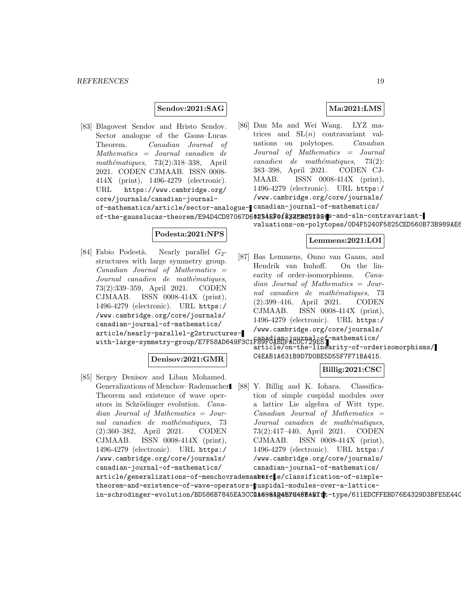### **Sendov:2021:SAG**

- **Ma:2021:LMS**
- [83] Blagovest Sendov and Hristo Sendov. Sector analogue of the Gauss–Lucas Theorem. Canadian Journal of Mathematics = Journal canadien de mathématiques,  $73(2):318-338$ , April 2021. CODEN CJMAAB. ISSN 0008- 414X (print), 1496-4279 (electronic). URL https://www.cambridge.org/ core/journals/canadian-journalof-mathematics/article/sector-analogue-canadian-journal-of-mathematics/ of-the-gausslucas-theorem/E94D4CD87067D6@234EF01&33EB62I088S-and-sln-contravariant-[86] Dan Ma and Wei Wang. LYZ matrices and  $SL(n)$  contravariant valuations on polytopes. Canadian Journal of Mathematics = Journal  $cana dien$  de mathématiques, 73(2): 383–398, April 2021. CODEN CJ-MAAB. ISSN 0008-414X (print), 1496-4279 (electronic). URL https:/ /www.cambridge.org/core/journals/
	- valuations-on-polytopes/0D4F5240F5825CED560B73B989AE6

**Lemmens:2021:LOI**

### **Podesta:2021:NPS**

[84] Fabio Podestà. Nearly parallel  $G_2$ structures with large symmetry group. Canadian Journal of Mathematics = Journal canadien de mathématiques, 73(2):339–359, April 2021. CODEN CJMAAB. ISSN 0008-414X (print), 1496-4279 (electronic). URL https:/ /www.cambridge.org/core/journals/ canadian-journal-of-mathematics/ article/nearly-parallel-g2structurescanadian-large-symmetry-group/E7F58AD649F3C1F89F0ABDFAC0C729E5.

#### **Denisov:2021:GMR**

[85] Sergey Denisov and Liban Mohamed. Generalizations of Menchov–Rademacher Theorem and existence of wave operators in Schrödinger evolution. Canadian Journal of Mathematics = Journal canadien de mathématiques, 73 (2):360–382, April 2021. CODEN CJMAAB. ISSN 0008-414X (print), 1496-4279 (electronic). URL https:/ /www.cambridge.org/core/journals/ canadian-journal-of-mathematics/

article/on-the-linearity-of-orderisomorphisms/ C4EAB1A631B9D7D0BE5D55F7F71BA415.

### **Billig:2021:CSC**

[88] Y. Billig and K. Iohara. Classification of simple cuspidal modules over a lattice Lie algebra of Witt type.  $Canadian$  Journal of Mathematics  $=$ Journal canadien de mathématiques, 73(2):417–440, April 2021. CODEN CJMAAB. ISSN 0008-414X (print), 1496-4279 (electronic). URL https:/ /www.cambridge.org/core/journals/ canadian-journal-of-mathematics/

[87] Bas Lemmens, Onno van Gaans, and Hendrik van Imhoff. On the linearity of order-isomorphisms. *Cana*dian Journal of Mathematics = Journal canadien de mathématiques, 73 (2):399–416, April 2021. CODEN CJMAAB. ISSN 0008-414X (print), 1496-4279 (electronic). URL https:/ /www.cambridge.org/core/journals/

article/generalizations-of-menchovrademaahticle/classification-of-simpletheorem-and-existence-of-wave-operators-cuspidal-modules-over-a-latticein-schrodinger-evolution/BD586B7845EA3CC@**A6984B4E7645BAE7t**t-type/611EDCFFEBD76E4329D3BFE5E440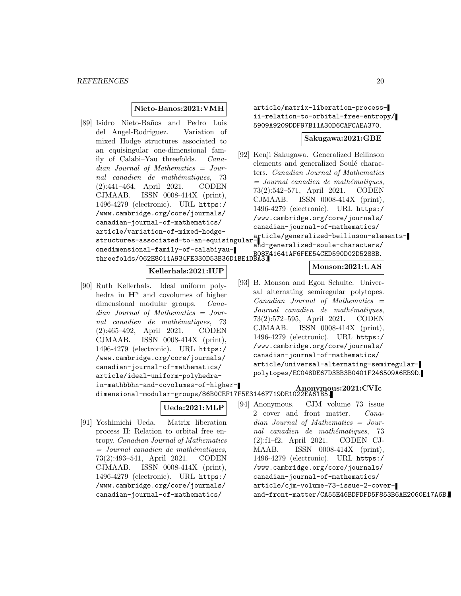#### **Nieto-Banos:2021:VMH**

[89] Isidro Nieto-Baños and Pedro Luis del Angel-Rodriguez. Variation of mixed Hodge structures associated to an equisingular one-dimensional family of Calabi–Yau threefolds. Canadian Journal of Mathematics = Journal canadien de mathématiques, 73 (2):441–464, April 2021. CODEN CJMAAB. ISSN 0008-414X (print), 1496-4279 (electronic). URL https:/ /www.cambridge.org/core/journals/ canadian-journal-of-mathematics/ article/variation-of-mixed-hodgeonedimensional-family-of-calabiyauthreefolds/062E8011A934FE330D53B36D1BE1DBA3. B08F41641AF6FEE54CED590D02D5288B.

### **Kellerhals:2021:IUP**

[90] Ruth Kellerhals. Ideal uniform polyhedra in  $\mathbf{H}^n$  and covolumes of higher dimensional modular groups. Canadian Journal of Mathematics = Journal canadien de mathématiques, 73 (2):465–492, April 2021. CODEN CJMAAB. ISSN 0008-414X (print), 1496-4279 (electronic). URL https:/ /www.cambridge.org/core/journals/ canadian-journal-of-mathematics/ article/ideal-uniform-polyhedrain-mathbbhn-and-covolumes-of-higher-

dimensional-modular-groups/86B0CEF17F5E3146F719DE1022EA61B5.

### **Ueda:2021:MLP**

[91] Yoshimichi Ueda. Matrix liberation process II: Relation to orbital free entropy. Canadian Journal of Mathematics  $=$  Journal canadien de mathématiques, 73(2):493–541, April 2021. CODEN CJMAAB. ISSN 0008-414X (print), 1496-4279 (electronic). URL https:/ /www.cambridge.org/core/journals/ canadian-journal-of-mathematics/

article/matrix-liberation-processii-relation-to-orbital-free-entropy/ 5909A9209DDF97B11A30D6CAFCAEA370.

#### **Sakugawa:2021:GBE**

structures-associated-to-an-equisingular-article/generalized-beilinson-elements-[92] Kenji Sakugawa. Generalized Beilinson elements and generalized Soulé characters. Canadian Journal of Mathematics  $=$  Journal canadien de mathématiques, 73(2):542–571, April 2021. CODEN CJMAAB. ISSN 0008-414X (print), 1496-4279 (electronic). URL https:/ /www.cambridge.org/core/journals/ canadian-journal-of-mathematics/ and-generalized-soule-characters/

### **Monson:2021:UAS**

[93] B. Monson and Egon Schulte. Universal alternating semiregular polytopes.  $Canadian$  Journal of Mathematics  $=$ Journal canadien de mathématiques, 73(2):572–595, April 2021. CODEN CJMAAB. ISSN 0008-414X (print), 1496-4279 (electronic). URL https:/ /www.cambridge.org/core/journals/ canadian-journal-of-mathematics/ article/universal-alternating-semiregularpolytopes/EC048DE67D3BB3B0401F246509A6EB9D.

### **Anonymous:2021:CVIc**

[94] Anonymous. CJM volume 73 issue 2 cover and front matter. Canadian Journal of Mathematics = Journal canadien de mathématiques, 73 (2):f1–f2, April 2021. CODEN CJ-MAAB. ISSN 0008-414X (print), 1496-4279 (electronic). URL https:/ /www.cambridge.org/core/journals/ canadian-journal-of-mathematics/ article/cjm-volume-73-issue-2-coverand-front-matter/CA55E46BDFDFD5F853B6AE2060E17A6B.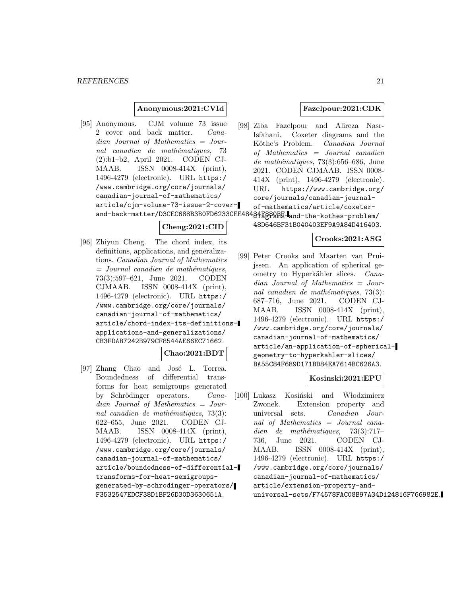### **Anonymous:2021:CVId**

[95] Anonymous. CJM volume 73 issue 2 cover and back matter. Canadian Journal of Mathematics = Journal canadien de mathématiques, 73 (2):b1–b2, April 2021. CODEN CJ-MAAB. ISSN 0008-414X (print), 1496-4279 (electronic). URL https:/ /www.cambridge.org/core/journals/ canadian-journal-of-mathematics/ article/cjm-volume-73-issue-2-coverand-back-matter/D3CEC688B3B0FD6233CEE48484Eg29RE-and-the-kothes-problem/

### **Cheng:2021:CID**

[96] Zhiyun Cheng. The chord index, its definitions, applications, and generalizations. Canadian Journal of Mathematics  $=$  Journal canadien de mathématiques, 73(3):597–621, June 2021. CODEN CJMAAB. ISSN 0008-414X (print), 1496-4279 (electronic). URL https:/ /www.cambridge.org/core/journals/ canadian-journal-of-mathematics/ article/chord-index-its-definitionsapplications-and-generalizations/ CB3FDAB7242B979CF8544AE66EC71662.

#### **Chao:2021:BDT**

[97] Zhang Chao and José L. Torrea. Boundedness of differential transforms for heat semigroups generated by Schrödinger operators. Canadian Journal of Mathematics = Journal canadien de mathématiques,  $73(3)$ : 622–655, June 2021. CODEN CJ-MAAB. ISSN 0008-414X (print), 1496-4279 (electronic). URL https:/ /www.cambridge.org/core/journals/ canadian-journal-of-mathematics/ article/boundedness-of-differentialtransforms-for-heat-semigroupsgenerated-by-schrodinger-operators/ F3532547EDCF38D1BF26D30D3630651A.

### **Fazelpour:2021:CDK**

[98] Ziba Fazelpour and Alireza Nasr-Isfahani. Coxeter diagrams and the Köthe's Problem. Canadian Journal of Mathematics = Journal canadien  $de$  mathématiques, 73(3):656–686, June 2021. CODEN CJMAAB. ISSN 0008- 414X (print), 1496-4279 (electronic). URL https://www.cambridge.org/ core/journals/canadian-journalof-mathematics/article/coxeter-

48D646BF31B040403EF9A9A84D416403.

#### **Crooks:2021:ASG**

[99] Peter Crooks and Maarten van Pruijssen. An application of spherical geometry to Hyperkähler slices. Canadian Journal of Mathematics = Journal canadien de mathématiques,  $73(3)$ : 687–716, June 2021. CODEN CJ-MAAB. ISSN 0008-414X (print), 1496-4279 (electronic). URL https:/ /www.cambridge.org/core/journals/ canadian-journal-of-mathematics/ article/an-application-of-sphericalgeometry-to-hyperkahler-slices/ BA55C84F689D171BD84EA7614BC626A3.

#### **Kosinski:2021:EPU**

[100] Lukasz Kosiński and Włodzimierz Zwonek. Extension property and universal sets. Canadian Journal of Mathematics = Journal canadien de mathématiques, 73(3):717– 736, June 2021. CODEN CJ-MAAB. ISSN 0008-414X (print), 1496-4279 (electronic). URL https:/ /www.cambridge.org/core/journals/ canadian-journal-of-mathematics/ article/extension-property-anduniversal-sets/F74578FAC08B97A34D124816F766982E.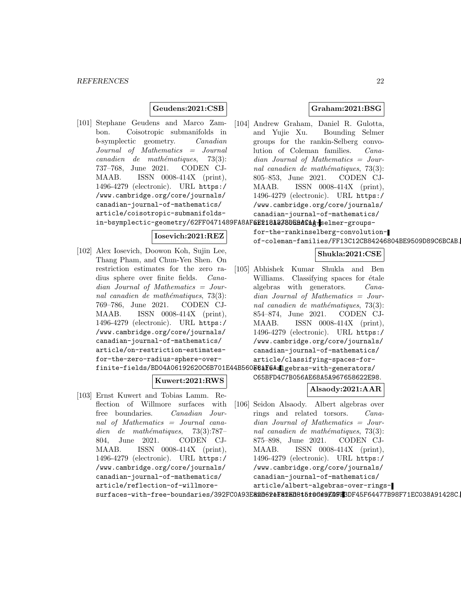### **Geudens:2021:CSB**

[101] Stephane Geudens and Marco Zambon. Coisotropic submanifolds in b-symplectic geometry. Canadian Journal of Mathematics = Journal  $cana dien$  de mathématiques, 73(3): 737–768, June 2021. CODEN CJ-MAAB. ISSN 0008-414X (print), 1496-4279 (electronic). URL https:/ /www.cambridge.org/core/journals/ canadian-journal-of-mathematics/ article/coisotropic-submanifoldsin-bsymplectic-geometry/62FF0471489FA8AF6E218123BDE9dC1A: selmer-groups-

#### **Iosevich:2021:REZ**

[102] Alex Iosevich, Doowon Koh, Sujin Lee, Thang Pham, and Chun-Yen Shen. On restriction estimates for the zero radius sphere over finite fields. Canadian Journal of Mathematics = Journal canadien de mathématiques,  $73(3)$ : 769–786, June 2021. CODEN CJ-MAAB. ISSN 0008-414X (print), 1496-4279 (electronic). URL https:/ /www.cambridge.org/core/journals/ canadian-journal-of-mathematics/ article/on-restriction-estimatesfor-the-zero-radius-sphere-overfinite-fields/BD04A06192620C6B701E44B560**E8åF6Aal**gebras-with-generators/

### **Kuwert:2021:RWS**

[103] Ernst Kuwert and Tobias Lamm. Reflection of Willmore surfaces with free boundaries. Canadian Journal of Mathematics = Journal canadien de mathématiques,  $73(3):787-$ 804, June 2021. CODEN CJ-MAAB. ISSN 0008-414X (print), 1496-4279 (electronic). URL https:/ /www.cambridge.org/core/journals/ canadian-journal-of-mathematics/ article/reflection-of-willmore-

### **Graham:2021:BSG**

[104] Andrew Graham, Daniel R. Gulotta, and Yujie Xu. Bounding Selmer groups for the rankin-Selberg convolution of Coleman families. Canadian Journal of Mathematics = Journal canadien de mathématiques,  $73(3)$ : 805–853, June 2021. CODEN CJ-MAAB. ISSN 0008-414X (print), 1496-4279 (electronic). URL https:/ /www.cambridge.org/core/journals/ canadian-journal-of-mathematics/

for-the-rankinselberg-convolutionof-coleman-families/FF13C12CB84246804BE9509D89C6BCAB.

### **Shukla:2021:CSE**

[105] Abhishek Kumar Shukla and Ben Williams. Classifying spaces for  $étele$ algebras with generators. Canadian Journal of Mathematics = Journal canadien de mathématiques,  $73(3)$ : 854–874, June 2021. CODEN CJ-MAAB. ISSN 0008-414X (print), 1496-4279 (electronic). URL https:/ /www.cambridge.org/core/journals/ canadian-journal-of-mathematics/ article/classifying-spaces-for-

C65BFD4C7B056AE68A5A967658622E98.

### **Alsaody:2021:AAR**

[106] Seidon Alsaody. Albert algebras over rings and related torsors. Canadian Journal of Mathematics = Journal canadien de mathématiques,  $73(3)$ : 875–898, June 2021. CODEN CJ-MAAB. ISSN 0008-414X (print), 1496-4279 (electronic). URL https:/ /www.cambridge.org/core/journals/ canadian-journal-of-mathematics/ article/albert-algebras-over-rings-

surfaces-with-free-boundaries/392FC0A93E82D62&F82ED8t5t0649ED9E3DF45F64477B98F71EC038A91428C.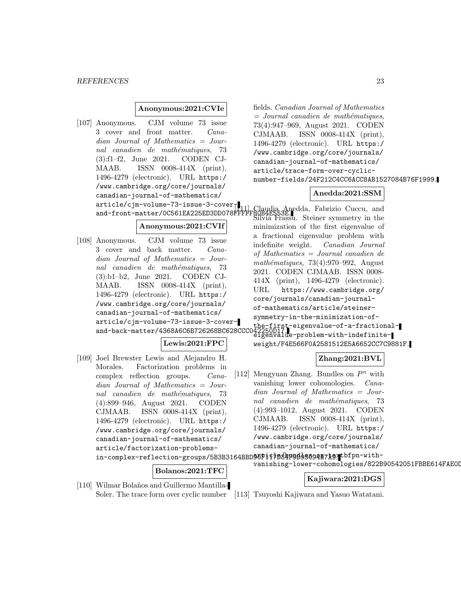### **Anonymous:2021:CVIe**

[107] Anonymous. CJM volume 73 issue 3 cover and front matter. Canadian Journal of Mathematics = Journal canadien de mathématiques, 73 (3):f1–f2, June 2021. CODEN CJ-MAAB. ISSN 0008-414X (print), 1496-4279 (electronic). URL https:/ /www.cambridge.org/core/journals/ canadian-journal-of-mathematics/ article/cjm-volume-73-issue-3-cover-

### **Anonymous:2021:CVIf**

[108] Anonymous. CJM volume 73 issue 3 cover and back matter. Canadian Journal of Mathematics = Journal canadien de mathématiques, 73 (3):b1–b2, June 2021. CODEN CJ-MAAB. ISSN 0008-414X (print), 1496-4279 (electronic). URL https:/ /www.cambridge.org/core/journals/ canadian-journal-of-mathematics/ article/cjm-volume-73-issue-3-coverand-back-matter/4368A6C6B726268BC628CCC042250D17. the-first-eigenvalue-of-a-fractional-

**Lewis:2021:FPC**

[109] Joel Brewster Lewis and Alejandro H. Morales. Factorization problems in complex reflection groups. Canadian Journal of Mathematics = Journal canadien de mathématiques, 73 (4):899–946, August 2021. CODEN CJMAAB. ISSN 0008-414X (print), 1496-4279 (electronic). URL https:/ /www.cambridge.org/core/journals/ canadian-journal-of-mathematics/ article/factorization-problemsin-complex-reflection-groups/5B3B3164BBD90F1f7B84F9B95894A7A9.tbfpn-with-

#### **Bolanos:2021:TFC**

[110] Wilmar Bolaños and Guillermo Mantilla-

fields. Canadian Journal of Mathematics  $=$  Journal canadien de mathématiques, 73(4):947–969, August 2021. CODEN CJMAAB. ISSN 0008-414X (print), 1496-4279 (electronic). URL https:/ /www.cambridge.org/core/journals/ canadian-journal-of-mathematics/ article/trace-form-over-cyclicnumber-fields/24F212C4CC6ACC8AB1527084B76F1999.

### **Anedda:2021:SSM**

and-front-matter/0C561EA225ED3DD078FFFFF80B4E553E. Steiner current in the Silvia Frassu. Steiner symmetry in the minimization of the first eigenvalue of a fractional eigenvalue problem with indefinite weight. Canadian Journal of Mathematics = Journal canadien de  $mathématiques, 73(4):970-992, August$ 2021. CODEN CJMAAB. ISSN 0008- 414X (print), 1496-4279 (electronic). URL https://www.cambridge.org/ core/journals/canadian-journalof-mathematics/article/steinersymmetry-in-the-minimization-of-<br>the-first-eigenvalue-of-a-fractional-

eigenvalue-problem-with-indefiniteweight/F4E566F0A2581512E5A6652CC7C9881F.

### **Zhang:2021:BVL**

[112] Mengyuan Zhang. Bundles on  $P^n$  with vanishing lower cohomologies. Canadian Journal of Mathematics = Journal canadien de mathématiques, 73 (4):993–1012, August 2021. CODEN CJMAAB. ISSN 0008-414X (print), 1496-4279 (electronic). URL https:/ /www.cambridge.org/core/journals/ canadian-journal-of-mathematics/

vanishing-lower-cohomologies/822B90542051FBBE614FAE0D

#### **Kajiwara:2021:DGS**

Soler. The trace form over cyclic number [113] Tsuyoshi Kajiwara and Yasuo Watatani.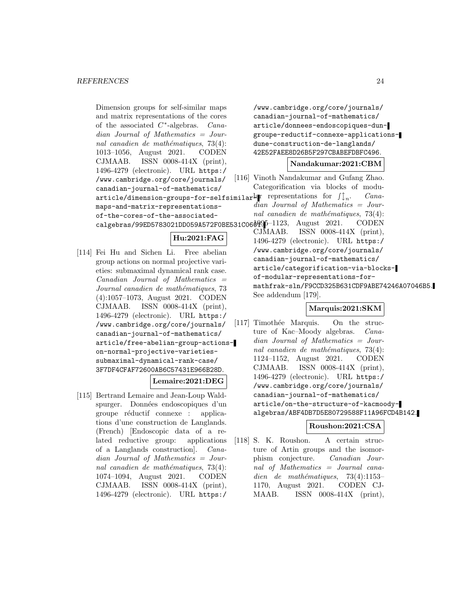Dimension groups for self-similar maps and matrix representations of the cores of the associated  $C^*$ -algebras. *Cana*dian Journal of Mathematics = Journal canadien de mathématiques,  $73(4)$ : 1013–1056, August 2021. CODEN CJMAAB. ISSN 0008-414X (print), 1496-4279 (electronic). URL https:/ /www.cambridge.org/core/journals/ canadian-journal-of-mathematics/ article/dimension-groups-for-selfsimilar $\text{Lip}$  representations for  $\text{I} \mathbb{I}_n$ . Canamaps-and-matrix-representationsof-the-cores-of-the-associated-

### **Hu:2021:FAG**

[114] Fei Hu and Sichen Li. Free abelian group actions on normal projective varieties: submaximal dynamical rank case. Canadian Journal of Mathematics = Journal canadien de mathématiques, 73 (4):1057–1073, August 2021. CODEN CJMAAB. ISSN 0008-414X (print), 1496-4279 (electronic). URL https:/ /www.cambridge.org/core/journals/ canadian-journal-of-mathematics/ article/free-abelian-group-actionson-normal-projective-varietiessubmaximal-dynamical-rank-case/ 3F7DF4CFAF72600AB6C57431E966B28D.

### **Lemaire:2021:DEG**

[115] Bertrand Lemaire and Jean-Loup Waldspurger. Données endoscopiques d'un groupe réductif connexe : applications d'une construction de Langlands. (French) [Endoscopic data of a related reductive group: applications of a Langlands construction]. Canadian Journal of Mathematics = Journal canadien de mathématiques,  $73(4)$ : 1074–1094, August 2021. CODEN CJMAAB. ISSN 0008-414X (print), 1496-4279 (electronic). URL https:/

/www.cambridge.org/core/journals/ canadian-journal-of-mathematics/ article/donnees-endoscopiques-dungroupe-reductif-connexe-applicationsdune-construction-de-langlands/ 42E52FAEE8D26B5F297CBABEFDBFC496.

### **Nandakumar:2021:CBM**

- [116] Vinoth Nandakumar and Gufang Zhao. Categorification via blocks of modu
	- dian Journal of Mathematics = Journal canadien de mathématiques,  $73(4)$ :

 $\texttt{calgebras}/99\texttt{ED5783021DD059A572F0BE531C06} \vartheta\varphi\varphi\texttt{5--1123}, \text{ August } 2021. \text{ CODEN}$ CJMAAB. ISSN 0008-414X (print), 1496-4279 (electronic). URL https:/ /www.cambridge.org/core/journals/ canadian-journal-of-mathematics/ article/categorification-via-blocksof-modular-representations-formathfrak-sln/F9CCD325B631CDF9ABE74246A07046B5. See addendum [179].

### **Marquis:2021:SKM**

[117] Timothée Marquis. On the structure of Kac–Moody algebras. Canadian Journal of Mathematics = Journal canadien de mathématiques,  $73(4)$ : 1124–1152, August 2021. CODEN CJMAAB. ISSN 0008-414X (print), 1496-4279 (electronic). URL https:/ /www.cambridge.org/core/journals/ canadian-journal-of-mathematics/ article/on-the-structure-of-kacmoodyalgebras/ABF4DB7D5E80729588F11A96FCD4B142.

### **Roushon:2021:CSA**

[118] S. K. Roushon. A certain structure of Artin groups and the isomorphism conjecture. Canadian Journal of Mathematics = Journal canadien de mathématiques,  $73(4):1153-$ 1170, August 2021. CODEN CJ-MAAB. ISSN 0008-414X (print),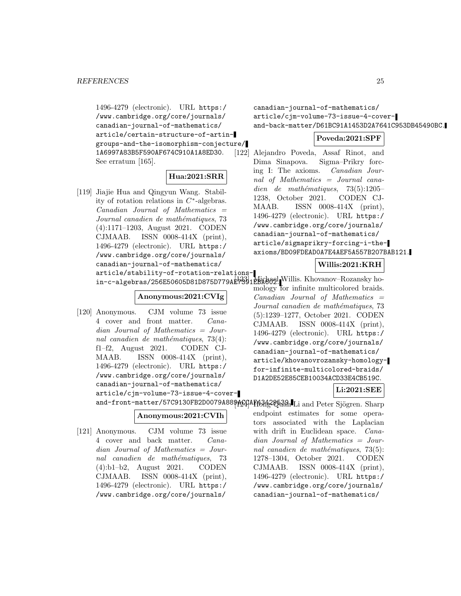1496-4279 (electronic). URL https:/ /www.cambridge.org/core/journals/ canadian-journal-of-mathematics/ article/certain-structure-of-artingroups-and-the-isomorphism-conjecture/ 1A6997A83B5F590AF674C910A1A8ED30. See erratum [165].

### **Hua:2021:SRR**

[119] Jiajie Hua and Qingyun Wang. Stability of rotation relations in C∗-algebras.  $Canadian$  Journal of Mathematics  $=$ Journal canadien de mathématiques, 73 (4):1171–1203, August 2021. CODEN CJMAAB. ISSN 0008-414X (print), 1496-4279 (electronic). URL https:/ /www.cambridge.org/core/journals/ canadian-journal-of-mathematics/ article/stability-of-rotation-relations-

in-c-algebras/256E50605D81D875D779AE7391EBA602. Willis. Khovanov–Rozansky ho-

### **Anonymous:2021:CVIg**

[120] Anonymous. CJM volume 73 issue 4 cover and front matter. Canadian Journal of Mathematics = Journal canadien de mathématiques,  $73(4)$ : f1–f2, August 2021. CODEN CJ-MAAB. ISSN 0008-414X (print), 1496-4279 (electronic). URL https:/ /www.cambridge.org/core/journals/ canadian-journal-of-mathematics/ article/cjm-volume-73-issue-4-cover-

### **Anonymous:2021:CVIh**

[121] Anonymous. CJM volume 73 issue 4 cover and back matter. Canadian Journal of Mathematics = Journal canadien de mathématiques, 73 (4):b1–b2, August 2021. CODEN CJMAAB. ISSN 0008-414X (print), 1496-4279 (electronic). URL https:/ /www.cambridge.org/core/journals/

canadian-journal-of-mathematics/ article/cjm-volume-73-issue-4-coverand-back-matter/D61BC91A1453D2A7641C953DB45490BC.

### **Poveda:2021:SPF**

[122] Alejandro Poveda, Assaf Rinot, and Dima Sinapova. Sigma–Prikry forcing I: The axioms. Canadian Journal of Mathematics = Journal canadien de mathématiques,  $73(5):1205-$ 1238, October 2021. CODEN CJ-MAAB. ISSN 0008-414X (print), 1496-4279 (electronic). URL https:/ /www.cambridge.org/core/journals/ canadian-journal-of-mathematics/ article/sigmaprikry-forcing-i-theaxioms/BD09FDEAD0A7E4AEF5A557B207BAB121.

### **Willis:2021:KRH**

mology for infinite multicolored braids.  $Canadian$  Journal of Mathematics  $=$ Journal canadien de mathématiques, 73 (5):1239–1277, October 2021. CODEN CJMAAB. ISSN 0008-414X (print), 1496-4279 (electronic). URL https:/ /www.cambridge.org/core/journals/ canadian-journal-of-mathematics/ article/khovanovrozansky-homologyfor-infinite-multicolored-braids/ D1A2DE52E85CEB10034ACD33E4CB519C.

### **Li:2021:SEE**

and-front-matter/57C9130FB2D0079A889ACGAFfB3fL2Q539.Li and Peter Sjögren. Sharp endpoint estimates for some operators associated with the Laplacian with drift in Euclidean space. *Cana*dian Journal of Mathematics = Journal canadien de mathématiques,  $73(5)$ : 1278–1304, October 2021. CODEN CJMAAB. ISSN 0008-414X (print), 1496-4279 (electronic). URL https:/ /www.cambridge.org/core/journals/ canadian-journal-of-mathematics/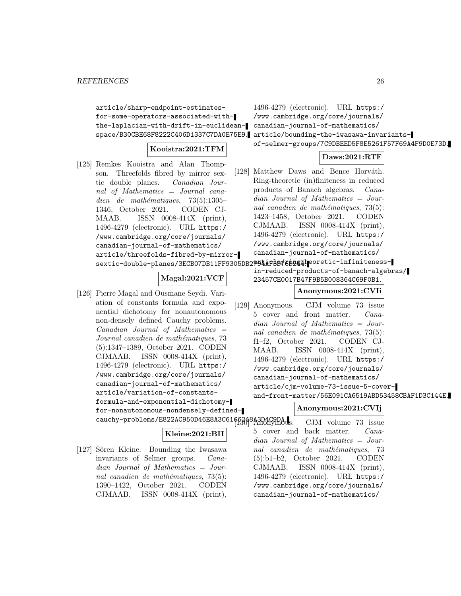article/sharp-endpoint-estimatesfor-some-operators-associated-withthe-laplacian-with-drift-in-euclidean-canadian-journal-of-mathematics/

### **Kooistra:2021:TFM**

- [125] Remkes Kooistra and Alan Thompson. Threefolds fibred by mirror sextic double planes. Canadian Journal of Mathematics = Journal canadien de mathématiques,  $73(5):1305-$ 1346, October 2021. CODEN CJ-MAAB. ISSN 0008-414X (print), 1496-4279 (electronic). URL https:/ /www.cambridge.org/core/journals/ canadian-journal-of-mathematics/ article/threefolds-fibred-by-mirrorsextic-double-planes/3ECB07DB11FF9305DB2?94AF3B76B244. eoretic-infiniteness-
	- **Magal:2021:VCF**
- [126] Pierre Magal and Ousmane Seydi. Variation of constants formula and exponential dichotomy for nonautonomous non-densely defined Cauchy problems.  $Canadian$  Journal of Mathematics  $=$ Journal canadien de mathématiques, 73 (5):1347–1389, October 2021. CODEN CJMAAB. ISSN 0008-414X (print), 1496-4279 (electronic). URL https:/ /www.cambridge.org/core/journals/ canadian-journal-of-mathematics/ article/variation-of-constantsformula-and-exponential-dichotomyfor-nonautonomous-nondensely-defined---<br>cauchy-problems/E822AC950D46E8A3C6166348A3D4C9DA.

#### **Kleine:2021:BII**

[127] Sören Kleine. Bounding the Iwasawa invariants of Selmer groups. Canadian Journal of Mathematics = Journal canadien de mathématiques,  $73(5)$ : 1390–1422, October 2021. CODEN CJMAAB. ISSN 0008-414X (print),

space/B30CBE68F8222C406D1337C7DA0E75E9. article/bounding-the-iwasawa-invariants-1496-4279 (electronic). URL https:/ /www.cambridge.org/core/journals/ of-selmer-groups/7C9DBEED5F8E5261F57F69A4F9D0E73D.

### **Daws:2021:RTF**

[128] Matthew Daws and Bence Horváth. Ring-theoretic (in)finiteness in reduced products of Banach algebras. Canadian Journal of Mathematics = Journal canadien de mathématiques,  $73(5)$ : 1423–1458, October 2021. CODEN CJMAAB. ISSN 0008-414X (print), 1496-4279 (electronic). URL https:/ /www.cambridge.org/core/journals/ canadian-journal-of-mathematics/

in-reduced-products-of-banach-algebras/

23457CE0017B47F9B5B008364C69F0B1.

### **Anonymous:2021:CVIi**

[129] Anonymous. CJM volume 73 issue 5 cover and front matter. Canadian Journal of Mathematics = Journal canadien de mathématiques,  $73(5)$ : f1–f2, October 2021. CODEN CJ-MAAB. ISSN 0008-414X (print), 1496-4279 (electronic). URL https:/ /www.cambridge.org/core/journals/ canadian-journal-of-mathematics/ article/cjm-volume-73-issue-5-coverand-front-matter/56E091CA6519ABD53458CBAF1D3C144E.

### **Anonymous:2021:CVIj**

CJM volume 73 issue. 5 cover and back matter. Canadian Journal of Mathematics = Journal canadien de mathématiques, 73 (5):b1–b2, October 2021. CODEN CJMAAB. ISSN 0008-414X (print), 1496-4279 (electronic). URL https:/ /www.cambridge.org/core/journals/ canadian-journal-of-mathematics/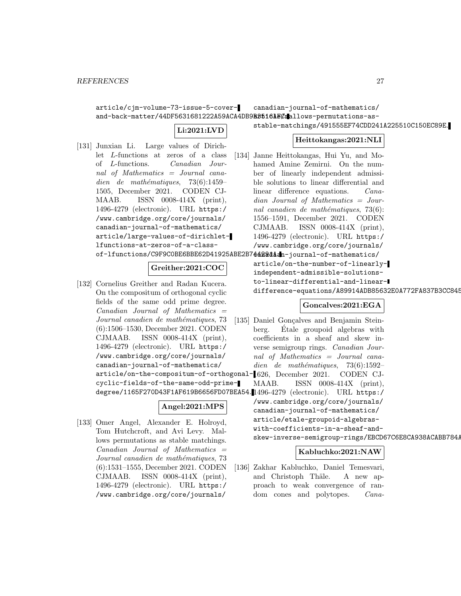article/cjm-volume-73-issue-5-coverand-back-matter/44DF5631681222A59ACA4DB9B35161ECmallows-permutations-ascanadian-journal-of-mathematics/

### **Li:2021:LVD**

- stable-matchings/491555EF74CDD241A225510C150EC89E.
- [131] Junxian Li. Large values of Dirichlet L-functions at zeros of a class of L-functions. Canadian Journal of Mathematics = Journal canadien de mathématiques,  $73(6):1459-$ 1505, December 2021. CODEN CJ-MAAB. ISSN 0008-414X (print), 1496-4279 (electronic). URL https:/ /www.cambridge.org/core/journals/ canadian-journal-of-mathematics/ article/large-values-of-dirichletlfunctions-at-zeros-of-a-classof-lfunctions/C9F9C0BE6BBE62D41925ABE2B7**4429dAan**-journal-of-mathematics/

### **Greither:2021:COC**

[132] Cornelius Greither and Radan Kucera. On the compositum of orthogonal cyclic fields of the same odd prime degree.  $Canadian$  Journal of Mathematics  $=$ Journal canadien de mathématiques, 73 (6):1506–1530, December 2021. CODEN CJMAAB. ISSN 0008-414X (print), 1496-4279 (electronic). URL https:/ /www.cambridge.org/core/journals/ canadian-journal-of-mathematics/ cyclic-fields-of-the-same-odd-prime-

### **Angel:2021:MPS**

[133] Omer Angel, Alexander E. Holroyd, Tom Hutchcroft, and Avi Levy. Mallows permutations as stable matchings.  $Canadian$  Journal of Mathematics  $=$ Journal canadien de mathématiques, 73 (6):1531–1555, December 2021. CODEN CJMAAB. ISSN 0008-414X (print), 1496-4279 (electronic). URL https:/ /www.cambridge.org/core/journals/

**Heittokangas:2021:NLI**

[134] Janne Heittokangas, Hui Yu, and Mohamed Amine Zemirni. On the number of linearly independent admissible solutions to linear differential and linear difference equations. Canadian Journal of Mathematics = Journal canadien de mathématiques,  $73(6)$ : 1556–1591, December 2021. CODEN CJMAAB. ISSN 0008-414X (print), 1496-4279 (electronic). URL https:/ /www.cambridge.org/core/journals/

> article/on-the-number-of-linearlyindependent-admissible-solutionsto-linear-differential-and-lineardifference-equations/A89914ADB85632E0A772FA837B3CC845

### **Goncalves:2021:EGA**

article/on-the-compositum-of-orthogonal-1626, December 2021. CODEN CJdegree/1165F270D43F1AF619B6656FD07BEA54. 1496-4279 (electronic). URL https:/ [135] Daniel Gonçalves and Benjamin Steinberg. Etale groupoid algebras with ´ coefficients in a sheaf and skew inverse semigroup rings. Canadian Journal of Mathematics = Journal canadien de mathématiques, 73(6):1592– MAAB. ISSN 0008-414X (print), /www.cambridge.org/core/journals/ canadian-journal-of-mathematics/ article/etale-groupoid-algebraswith-coefficients-in-a-sheaf-andskew-inverse-semigroup-rings/EBCD67C6E8CA938ACABB784/

#### **Kabluchko:2021:NAW**

[136] Zakhar Kabluchko, Daniel Temesvari, and Christoph Thäle. A new approach to weak convergence of random cones and polytopes. *Cana-*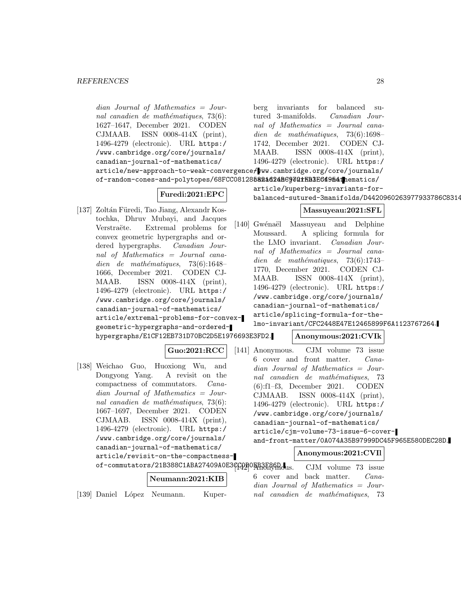dian Journal of Mathematics = Journal canadien de mathématiques,  $73(6)$ : 1627–1647, December 2021. CODEN CJMAAB. ISSN 0008-414X (print), 1496-4279 (electronic). URL https:/ /www.cambridge.org/core/journals/ canadian-journal-of-mathematics/  $\texttt{article}/\texttt{new-approach-to-weak-convergence}/\texttt{www.cambridge.org/core/journals/}$ of-random-cones-and-polytopes/68FCC081285**821624BC9701fFB3E64954th**ematics/ **Furedi:2021:EPC** [137] Zoltán Füredi, Tao Jiang, Alexandr Kostochka, Dhruv Mubayi, and Jacques Verstraëte. Extremal problems for convex geometric hypergraphs and ordered hypergraphs. Canadian Journal of Mathematics = Journal canadien de mathématiques,  $73(6):1648-$ 1666, December 2021. CODEN CJ-MAAB. ISSN 0008-414X (print), 1496-4279 (electronic). URL https:/ /www.cambridge.org/core/journals/ canadian-journal-of-mathematics/ article/extremal-problems-for-convexgeometric-hypergraphs-and-orderedhypergraphs/E1CF12EB731D70BC2D5E1976693E3FD2. **Guo:2021:RCC** [138] Weichao Guo, Huoxiong Wu, and Dongyong Yang. A revisit on the compactness of commutators. Canadian Journal of Mathematics = Journal canadien de mathématiques,  $73(6)$ : 1667–1697, December 2021. CODEN CJMAAB. ISSN 0008-414X (print), 1496-4279 (electronic). URL https:/ /www.cambridge.org/core/journals/ canadian-journal-of-mathematics/ article/revisit-on-the-compactnessof-commutators/21B388C1ABA27409A0E3CCOBOEB3F86D. **Neumann:2021:KIB** [139] Daniel López Neumann. Kuperberg invariants for balanced sutured 3-manifolds. Canadian Journal of Mathematics = Journal canadien de mathématiques,  $73(6):1698-$ 1742, December 2021. CODEN CJ-MAAB. ISSN 0008-414X (print), 1496-4279 (electronic). URL https:/ article/kuperberg-invariants-forbalanced-sutured-3manifolds/D4420960263977933786C8314 **Massuyeau:2021:SFL** [140] Gwénaël Massuyeau and Delphine Moussard. A splicing formula for the LMO invariant. Canadian Journal of Mathematics = Journal canadien de mathématiques,  $73(6):1743-$ 1770, December 2021. CODEN CJ-MAAB. ISSN 0008-414X (print), 1496-4279 (electronic). URL https:/ /www.cambridge.org/core/journals/ canadian-journal-of-mathematics/ article/splicing-formula-for-thelmo-invariant/CFC2448E47E12465899F6A1123767264. **Anonymous:2021:CVIk** [141] Anonymous. CJM volume 73 issue 6 cover and front matter. Canadian Journal of Mathematics = Journal canadien de mathématiques, 73 (6):f1–f3, December 2021. CODEN CJMAAB. ISSN 0008-414X (print), 1496-4279 (electronic). URL https:/ /www.cambridge.org/core/journals/ canadian-journal-of-mathematics/ article/cjm-volume-73-issue-6-coverand-front-matter/0A074A35B97999DC45F965E580DEC28D. **Anonymous:2021:CVIl** CJM volume 73 issue 6 cover and back matter. Canadian Journal of Mathematics = Journal canadien de mathématiques, 73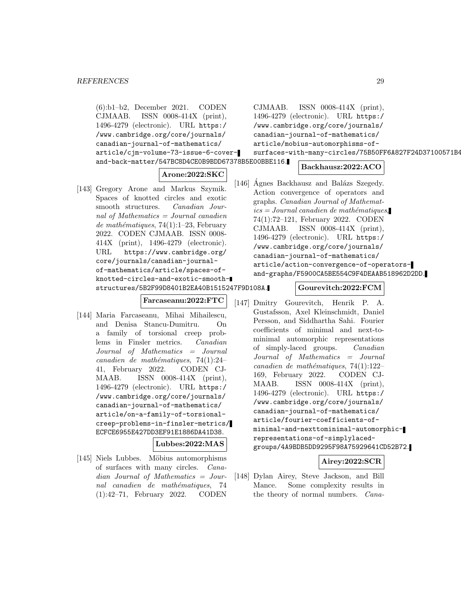(6):b1–b2, December 2021. CODEN CJMAAB. ISSN 0008-414X (print), 1496-4279 (electronic). URL https:/ /www.cambridge.org/core/journals/ canadian-journal-of-mathematics/ article/cjm-volume-73-issue-6-coverand-back-matter/547BC8D4CE0B9BDD67378B5E00BBE116.

### **Arone:2022:SKC**

[143] Gregory Arone and Markus Szymik. Spaces of knotted circles and exotic smooth structures. Canadian Journal of Mathematics = Journal canadien de mathématiques, 74(1):1–23, February 2022. CODEN CJMAAB. ISSN 0008- 414X (print), 1496-4279 (electronic). URL https://www.cambridge.org/ core/journals/canadian-journalof-mathematics/article/spaces-ofknotted-circles-and-exotic-smoothstructures/5B2F99D8401B2EA40B1515247F9D108A.

#### **Farcaseanu:2022:FTC**

[144] Maria Farcaseanu, Mihai Mihailescu, and Denisa Stancu-Dumitru. On a family of torsional creep problems in Finsler metrics. Canadian Journal of Mathematics = Journal  $cana dien de mathématiques, 74(1):24-$ 41, February 2022. CODEN CJ-MAAB. ISSN 0008-414X (print), 1496-4279 (electronic). URL https:/ /www.cambridge.org/core/journals/ canadian-journal-of-mathematics/ article/on-a-family-of-torsionalcreep-problems-in-finsler-metrics/ ECFCE6955E427DD3EF91E1886DA41D38.

#### **Lubbes:2022:MAS**

[145] Niels Lubbes. Möbius automorphisms of surfaces with many circles. Canadian Journal of Mathematics = Journal canadien de mathématiques. 74 (1):42–71, February 2022. CODEN

CJMAAB. ISSN 0008-414X (print), 1496-4279 (electronic). URL https:/ /www.cambridge.org/core/journals/ canadian-journal-of-mathematics/ article/mobius-automorphisms-of-

### surfaces-with-many-circles/75B50FF6A827F24D37100571B4

#### **Backhausz:2022:ACO**

- [146] Ágnes Backhausz and Balázs Szegedy. Action convergence of operators and graphs. Canadian Journal of Mathemat $ics = Journal\; can\; define\; the\; math{ématiques},$ 74(1):72–121, February 2022. CODEN CJMAAB. ISSN 0008-414X (print), 1496-4279 (electronic). URL https:/ /www.cambridge.org/core/journals/ canadian-journal-of-mathematics/ article/action-convergence-of-operatorsand-graphs/F5900CA5BE554C9F4DEAAB518962D2DD.
	- **Gourevitch:2022:FCM**
- [147] Dmitry Gourevitch, Henrik P. A. Gustafsson, Axel Kleinschmidt, Daniel Persson, and Siddhartha Sahi. Fourier coefficients of minimal and next-tominimal automorphic representations of simply-laced groups. Canadian Journal of Mathematics = Journal canadien de mathématiques,  $74(1):122-$ 169, February 2022. CODEN CJ-MAAB. ISSN 0008-414X (print), 1496-4279 (electronic). URL https:/ /www.cambridge.org/core/journals/ canadian-journal-of-mathematics/ article/fourier-coefficients-ofminimal-and-nexttominimal-automorphicrepresentations-of-simplylacedgroups/4A9BDB5DD9295F98A75929641CD52B72.

### **Airey:2022:SCR**

[148] Dylan Airey, Steve Jackson, and Bill Mance. Some complexity results in the theory of normal numbers. Cana-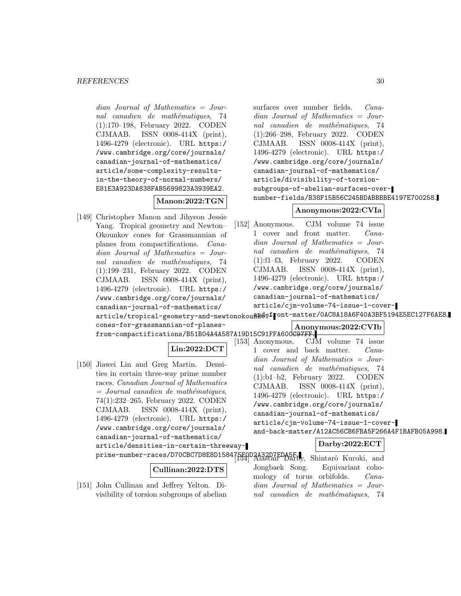dian Journal of Mathematics = Journal canadien de mathématiques, 74 (1):170–198, February 2022. CODEN CJMAAB. ISSN 0008-414X (print), 1496-4279 (electronic). URL https:/ /www.cambridge.org/core/journals/ canadian-journal-of-mathematics/ article/some-complexity-resultsin-the-theory-of-normal-numbers/ E81E3A923DA838FAB5699823A3939EA2.

### **Manon:2022:TGN**

[149] Christopher Manon and Jihyeon Jessie Yang. Tropical geometry and Newton– Okounkov cones for Grassmannian of planes from compactifications. Canadian Journal of Mathematics = Journal canadien de mathématiques, 74 (1):199–231, February 2022. CODEN CJMAAB. ISSN 0008-414X (print), 1496-4279 (electronic). URL https:/ /www.cambridge.org/core/journals/ canadian-journal-of-mathematics/ article/tropical-geometry-and-newtonokou<del>nRdv</del>front-matter/0AC8A18A6F40A3BF5194E5EC127F6AE8. cones-for-grassmannian-of-planes-

surfaces over number fields. Canadian Journal of Mathematics = Journal canadien de mathématiques, 74 (1):266–298, February 2022. CODEN CJMAAB. ISSN 0008-414X (print), 1496-4279 (electronic). URL https:/ /www.cambridge.org/core/journals/ canadian-journal-of-mathematics/ article/divisibility-of-torsionsubgroups-of-abelian-surfaces-overnumber-fields/B38F15B56C245BDABBBBE4197E700258.

### **Anonymous:2022:CVIa**

[152] Anonymous. CJM volume 74 issue 1 cover and front matter. Canadian Journal of Mathematics = Journal canadien de mathématiques, 74 (1):f1–f3, February 2022. CODEN CJMAAB. ISSN 0008-414X (print), 1496-4279 (electronic). URL https:/ /www.cambridge.org/core/journals/ canadian-journal-of-mathematics/ article/cjm-volume-74-issue-1-cover-

### **Anonymous:2022:CVIb**

from-compactifications/B51B04A4A587A19D15C91FFA600C97FF. CJM volume 74 issue. 1 cover and back matter. Canadian Journal of Mathematics = Journal canadien de mathématiques, 74 (1):b1–b2, February 2022. CODEN CJMAAB. ISSN 0008-414X (print), 1496-4279 (electronic). URL https:/ /www.cambridge.org/core/journals/ canadian-journal-of-mathematics/ article/cjm-volume-74-issue-1-coverand-back-matter/A12AC56CB6FBA5F266A4F1BAFB05A998.

### **Darby:2022:ECT**

Jongbaek Song. Equivariant cohomology of torus orbifolds. Canadian Journal of Mathematics = Journal canadien de mathématiques, 74

# **Lin:2022:DCT**

[150] Jiawei Lin and Greg Martin. Densities in certain three-way prime number races. Canadian Journal of Mathematics  $=$  Journal canadien de mathématiques, 74(1):232–265, February 2022. CODEN CJMAAB. ISSN 0008-414X (print), 1496-4279 (electronic). URL https:/ /www.cambridge.org/core/journals/ canadian-journal-of-mathematics/ article/densities-in-certain-threeway-

prime-number-races/D70CBC7D8E8D158475E0D2A32D7EDA5F. Shintarô Kuroki, and

### **Cullinan:2022:DTS**

[151] John Cullinan and Jeffrey Yelton. Divisibility of torsion subgroups of abelian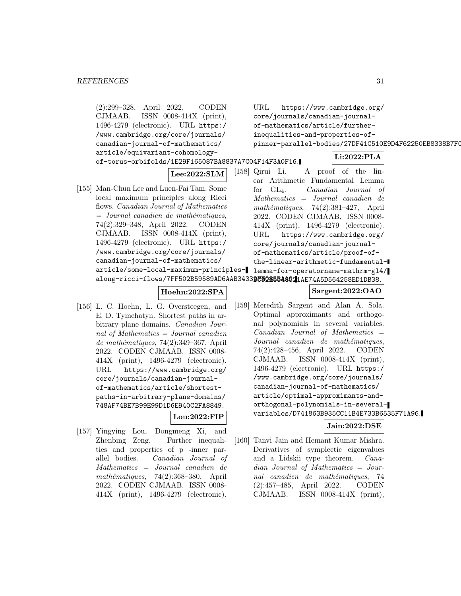```
(2):299–328, April 2022. CODEN
    CJMAAB. ISSN 0008-414X (print),
    1496-4279 (electronic). URL https:/
    /www.cambridge.org/core/journals/
    canadian-journal-of-mathematics/
    article/equivariant-cohomology-
    of-torus-orbifolds/1E29F165087BA8837A7C04F14F3A0F16.
                        Lee:2022:SLM
[155] Man-Chun Lee and Luen-Fai Tam. Some
    local maximum principles along Ricci
    flows. Canadian Journal of Mathematics
     = Journal canadien de mathématiques,
    74(2):329–348, April 2022. CODEN
    CJMAAB. ISSN 0008-414X (print),
    1496-4279 (electronic). URL https:/
    /www.cambridge.org/core/journals/
    canadian-journal-of-mathematics/
     article/some-local-maximum-principles-
lemma-for-operatorname-mathrm-gl4/
     along-ricci-flows/7FF502B59589AD6AAB34339F5085B48921AE74A5D564258ED1DB38.
                     Hoehn:2022:SPA
[156] L. C. Hoehn, L. G. Oversteegen, and
    E. D. Tymchatyn. Shortest paths in ar-
    bitrary plane domains. Canadian Jour-
    nal of Mathematics = Journal canadien
     de mathématiques, 74(2):349-367, April2022. CODEN CJMAAB. ISSN 0008-
    414X (print), 1496-4279 (electronic).
    URL https://www.cambridge.org/
    core/journals/canadian-journal-
    of-mathematics/article/shortest-
    paths-in-arbitrary-plane-domains/
    748AF74BE7B99E99D1D6E940C2FA8849.
                         Lou:2022:FIP
[157] Yingying Lou, Dongmeng Xi, and
    Zhenbing Zeng. Further inequali-
                                              URL https://www.cambridge.org/
                                              core/journals/canadian-journal-
                                             of-mathematics/article/further-
                                             inequalities-and-properties-of-
                                             pinner-parallel-bodies/27DF41C510E9D4F62250EB8338B7F0
                                                                   Li:2022:PLA
                                        [158] Qirui Li. A proof of the lin-
                                              ear Arithmetic Fundamental Lemma
                                             for GL4. Canadian Journal of
                                              Mathematics = Journal canadien de
                                              mathématiques, 74(2):381-427, April
                                             2022. CODEN CJMAAB. ISSN 0008-
                                             414X (print), 1496-4279 (electronic).
                                             URL https://www.cambridge.org/
                                             core/journals/canadian-journal-
                                             of-mathematics/article/proof-of-
                                              the-linear-arithmetic-fundamental-
                                                             Sargent:2022:OAO
                                        [159] Meredith Sargent and Alan A. Sola.
                                              Optimal approximants and orthogo-
                                             nal polynomials in several variables.
                                              Canadian Journal of Mathematics =Journal canadien de mathématiques,
                                              74(2):428–456, April 2022. CODEN
                                              CJMAAB. ISSN 0008-414X (print),
                                              1496-4279 (electronic). URL https:/
                                              /www.cambridge.org/core/journals/
                                             canadian-journal-of-mathematics/
                                             article/optimal-approximants-and-
                                             orthogonal-polynomials-in-several-
                                              variables/D741863B935CC11B4E733B6535F71A96.
                                                                 Jain:2022:DSE
                                         [160] Tanvi Jain and Hemant Kumar Mishra.
```
ties and properties of p -inner parallel bodies. Canadian Journal of Mathematics = Journal canadien de mathématiques,  $74(2):368-380$ , April 2022. CODEN CJMAAB. ISSN 0008- 414X (print), 1496-4279 (electronic).

Derivatives of symplectic eigenvalues and a Lidskii type theorem. Canadian Journal of Mathematics = Journal canadien de mathématiques, 74 (2):457–485, April 2022. CODEN CJMAAB. ISSN 0008-414X (print),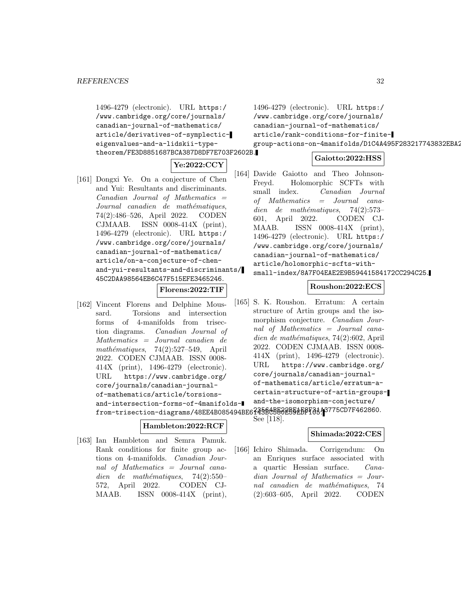1496-4279 (electronic). URL https:/ /www.cambridge.org/core/journals/ canadian-journal-of-mathematics/ article/derivatives-of-symplecticeigenvalues-and-a-lidskii-typetheorem/FE3D8851687BCA387D8DF7E703F2602B.

**Ye:2022:CCY**

[161] Dongxi Ye. On a conjecture of Chen and Yui: Resultants and discriminants.  $Canadian$  Journal of Mathematics  $=$ Journal canadien de mathématiques, 74(2):486–526, April 2022. CODEN CJMAAB. ISSN 0008-414X (print), 1496-4279 (electronic). URL https:/ /www.cambridge.org/core/journals/ canadian-journal-of-mathematics/ article/on-a-conjecture-of-chenand-yui-resultants-and-discriminants/ 45C2DAA98564EB6C47F515EFE3465246.

```
Florens:2022:TIF
```
[162] Vincent Florens and Delphine Moussard. Torsions and intersection forms of 4-manifolds from trisection diagrams. Canadian Journal of Mathematics = Journal canadien de mathématiques,  $74(2):527-549$ , April 2022. CODEN CJMAAB. ISSN 0008- 414X (print), 1496-4279 (electronic). URL https://www.cambridge.org/ core/journals/canadian-journalof-mathematics/article/torsionsand-intersection-forms-of-4manifoldsfrom-trisection-diagrams/48EE4B085494BE623560B502B52EB6F84A3775CD7F462860.

### **Hambleton:2022:RCF**

[163] Ian Hambleton and Semra Pamuk. Rank conditions for finite group actions on 4-manifolds. Canadian Journal of Mathematics = Journal canadien de mathématiques,  $74(2):550-$ 572, April 2022. CODEN CJ-MAAB. ISSN 0008-414X (print),

```
1496-4279 (electronic). URL https:/
/www.cambridge.org/core/journals/
canadian-journal-of-mathematics/
article/rank-conditions-for-finite-
group-actions-on-4manifolds/D1C4A495F283217743832EBA2
```
### **Gaiotto:2022:HSS**

[164] Davide Gaiotto and Theo Johnson-Freyd. Holomorphic SCFTs with small index. Canadian Journal of Mathematics = Journal canadien de mathématiques, 74(2):573– 601, April 2022. CODEN CJ-MAAB. ISSN 0008-414X (print), 1496-4279 (electronic). URL https:/ /www.cambridge.org/core/journals/ canadian-journal-of-mathematics/ article/holomorphic-scfts-withsmall-index/8A7F04EAE2E9B59441584172CC294C25.

### **Roushon:2022:ECS**

[165] S. K. Roushon. Erratum: A certain structure of Artin groups and the isomorphism conjecture. Canadian Journal of Mathematics = Journal canadien de mathématiques, 74(2):602, April 2022. CODEN CJMAAB. ISSN 0008- 414X (print), 1496-4279 (electronic). URL https://www.cambridge.org/ core/journals/canadian-journalof-mathematics/article/erratum-acertain-structure-of-artin-groupsand-the-isomorphism-conjecture/

See [118].

### **Shimada:2022:CES**

[166] Ichiro Shimada. Corrigendum: On an Enriques surface associated with a quartic Hessian surface. Canadian Journal of Mathematics = Journal canadien de mathématiques, 74 (2):603–605, April 2022. CODEN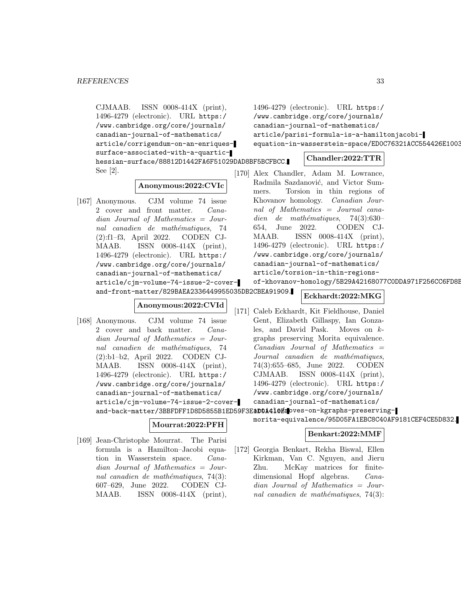CJMAAB. ISSN 0008-414X (print), 1496-4279 (electronic). URL https:/ /www.cambridge.org/core/journals/ canadian-journal-of-mathematics/ article/corrigendum-on-an-enriquessurface-associated-with-a-quartichessian-surface/88812D1442FA6F51029DAD8BF5BCFBCC. See [2].

#### **Anonymous:2022:CVIc**

[167] Anonymous. CJM volume 74 issue 2 cover and front matter. Canadian Journal of Mathematics = Journal canadien de mathématiques, 74 (2):f1–f3, April 2022. CODEN CJ-MAAB. ISSN 0008-414X (print), 1496-4279 (electronic). URL https:/ /www.cambridge.org/core/journals/ canadian-journal-of-mathematics/ article/cjm-volume-74-issue-2-coverand-front-matter/829BAEA2336449955035DB2CBEA91909.

### **Anonymous:2022:CVId**

[168] Anonymous. CJM volume 74 issue 2 cover and back matter. Canadian Journal of Mathematics = Journal canadien de mathématiques, 74 (2):b1–b2, April 2022. CODEN CJ-MAAB. ISSN 0008-414X (print), 1496-4279 (electronic). URL https:/ /www.cambridge.org/core/journals/ canadian-journal-of-mathematics/ article/cjm-volume-74-issue-2-cover-

### **Mourrat:2022:PFH**

[169] Jean-Christophe Mourrat. The Parisi formula is a Hamilton–Jacobi equation in Wasserstein space. Canadian Journal of Mathematics = Journal canadien de mathématiques,  $74(3)$ : 607–629, June 2022. CODEN CJ-MAAB. ISSN 0008-414X (print),

1496-4279 (electronic). URL https:/ /www.cambridge.org/core/journals/ canadian-journal-of-mathematics/ article/parisi-formula-is-a-hamiltonjacobiequation-in-wasserstein-space/ED0C76321ACC554426E1003

### **Chandler:2022:TTR**

- [170] Alex Chandler, Adam M. Lowrance, Radmila Sazdanović, and Victor Summers. Torsion in thin regions of Khovanov homology. Canadian Journal of Mathematics = Journal canadien de mathématiques,  $74(3):630-$ 654, June 2022. CODEN CJ-MAAB. ISSN 0008-414X (print), 1496-4279 (electronic). URL https:/ /www.cambridge.org/core/journals/ canadian-journal-of-mathematics/ article/torsion-in-thin-regions
	- of-khovanov-homology/5B29A42168077C0DDA971F256CC6FD8B

### **Eckhardt:2022:MKG**

[171] Caleb Eckhardt, Kit Fieldhouse, Daniel Gent, Elizabeth Gillaspy, Ian Gonzales, and David Pask. Moves on kgraphs preserving Morita equivalence.  $Canadian$  Journal of Mathematics  $=$ Journal canadien de mathématiques, 74(3):655–685, June 2022. CODEN CJMAAB. ISSN 0008-414X (print), 1496-4279 (electronic). URL https:/ /www.cambridge.org/core/journals/ canadian-journal-of-mathematics/

and-back-matter/3BBFDFF1D8D5855B1ED59F3E**1D0A410Em**oves-on-kgraphs-preservingmorita-equivalence/95D05FA1EBC8C40AF9181CEF4CE5D832.

#### **Benkart:2022:MMF**

[172] Georgia Benkart, Rekha Biswal, Ellen Kirkman, Van C. Nguyen, and Jieru Zhu. McKay matrices for finitedimensional Hopf algebras. Canadian Journal of Mathematics = Journal canadien de mathématiques,  $74(3)$ :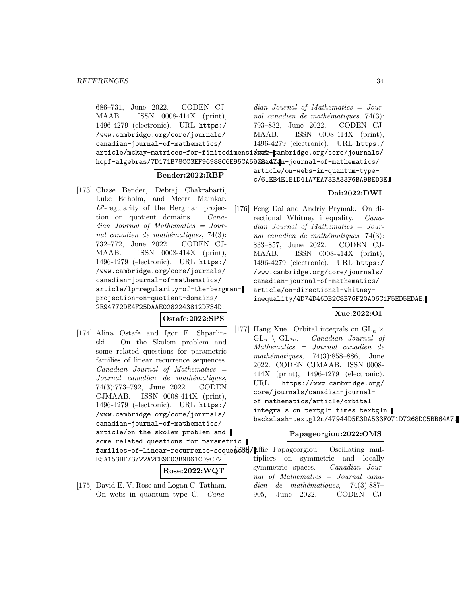686–731, June 2022. CODEN CJ-MAAB. ISSN 0008-414X (print), 1496-4279 (electronic). URL https:/ /www.cambridge.org/core/journals/ canadian-journal-of-mathematics/ article/mckay-matrices-for-finitedimensiønal-kambridge.org/core/journals/ hopf-algebras/7D171B78CC3EF96988C6E95CA5<mark>038a47a</mark>n-journal-of-mathematics/ dian Journal of Mathematics = Journal canadien de mathématiques,  $74(3)$ : 793–832, June 2022. CODEN CJ-MAAB. ISSN 0008-414X (print), 1496-4279 (electronic). URL https:/ article/on-webs-in-quantum-type-

### **Bender:2022:RBP**

[173] Chase Bender, Debraj Chakrabarti, Luke Edholm, and Meera Mainkar.  $L^p$ -regularity of the Bergman projection on quotient domains. Canadian Journal of Mathematics = Journal canadien de mathématiques,  $74(3)$ : 732–772, June 2022. CODEN CJ-MAAB. ISSN 0008-414X (print), 1496-4279 (electronic). URL https:/ /www.cambridge.org/core/journals/ canadian-journal-of-mathematics/ article/lp-regularity-of-the-bergmanprojection-on-quotient-domains/ 2E94772DE4F25DAAE0282243812DF34D.

**Ostafe:2022:SPS**

[174] Alina Ostafe and Igor E. Shparlinski. On the Skolem problem and some related questions for parametric families of linear recurrence sequences.  $Canadian$  Journal of Mathematics  $=$ Journal canadien de mathématiques, 74(3):773–792, June 2022. CODEN CJMAAB. ISSN 0008-414X (print), 1496-4279 (electronic). URL https:/ /www.cambridge.org/core/journals/ canadian-journal-of-mathematics/ article/on-the-skolem-problem-andsome-related-questions-for-parametricfamilies-of-linear-recurrence-sequence (ES) Effie Papageorgiou. Oscillating mul-E5A153BF73722A2CE9C03B9D61CD9CF2.

### **Rose:2022:WQT**

[175] David E. V. Rose and Logan C. Tatham. On webs in quantum type C. Cana-

c/61EB4E1E1D41A7EA73BA33F6BA9BED3E.

### **Dai:2022:DWI**

[176] Feng Dai and Andriy Prymak. On directional Whitney inequality. *Cana*dian Journal of Mathematics = Journal canadien de mathématiques,  $74(3)$ : 833–857, June 2022. CODEN CJ-MAAB. ISSN 0008-414X (print), 1496-4279 (electronic). URL https:/ /www.cambridge.org/core/journals/ canadian-journal-of-mathematics/ article/on-directional-whitneyinequality/4D74D46DB2C8B76F20A06C1F5ED5EDAE.

### **Xue:2022:OI**

[177] Hang Xue. Orbital integrals on  $GL_n \times GL_n \setminus GL_{2n}$ . *Canadian Journal of* Canadian Journal of Mathematics = Journal canadien de mathématiques,  $74(3):858-886$ , June 2022. CODEN CJMAAB. ISSN 0008- 414X (print), 1496-4279 (electronic). URL https://www.cambridge.org/ core/journals/canadian-journalof-mathematics/article/orbitalintegrals-on-textgln-times-textglnbackslash-textgl2n/47944D5E3DA533F071D7268DC5BB64A7.

### **Papageorgiou:2022:OMS**

tipliers on symmetric and locally symmetric spaces. Canadian Journal of Mathematics = Journal canadien de mathématiques,  $74(3):887-$ 905, June 2022. CODEN CJ-